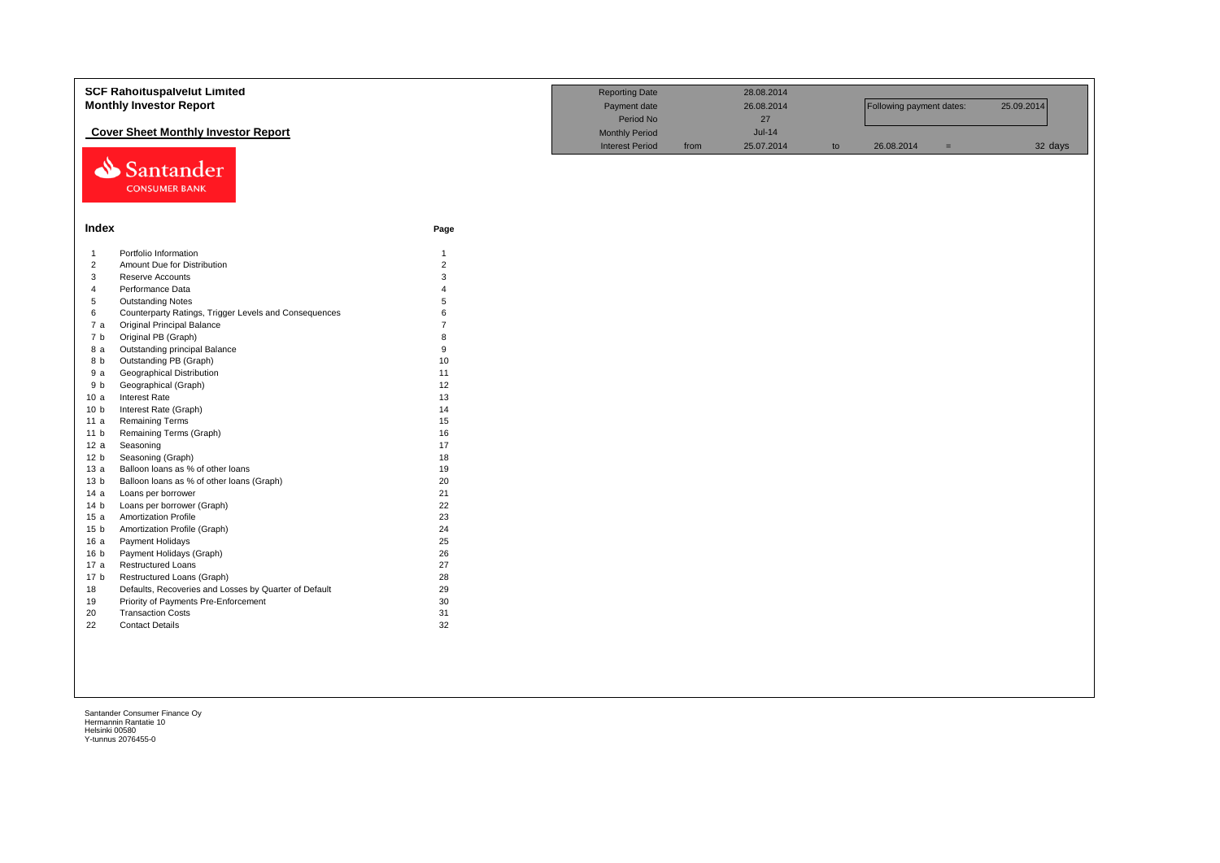| <b>SCF Rahoituspalvelut Limited</b><br><b>Monthly Investor Report</b>                       | <b>Reporting Date</b><br>Payment date<br>Period No |                                                 | 28.08.2014<br>26.08.2014<br>27<br>$Jul-14$ |            | Following payment dates: |            | 25.09.2014 |         |
|---------------------------------------------------------------------------------------------|----------------------------------------------------|-------------------------------------------------|--------------------------------------------|------------|--------------------------|------------|------------|---------|
| <b>Cover Sheet Monthly Investor Report</b><br>Santander<br><b>CONSUMER BANK</b>             |                                                    | <b>Monthly Period</b><br><b>Interest Period</b> | from                                       | 25.07.2014 | to                       | 26.08.2014 | $=$        | 32 days |
| Index                                                                                       | Page                                               |                                                 |                                            |            |                          |            |            |         |
| Portfolio Information<br>-1                                                                 | $\mathbf{1}$                                       |                                                 |                                            |            |                          |            |            |         |
| $\overline{2}$<br>Amount Due for Distribution                                               | $\sqrt{2}$                                         |                                                 |                                            |            |                          |            |            |         |
| 3<br>Reserve Accounts                                                                       | 3                                                  |                                                 |                                            |            |                          |            |            |         |
| $\overline{4}$<br>Performance Data                                                          |                                                    |                                                 |                                            |            |                          |            |            |         |
| 5<br><b>Outstanding Notes</b><br>6<br>Counterparty Ratings, Trigger Levels and Consequences | 6                                                  |                                                 |                                            |            |                          |            |            |         |
| Original Principal Balance<br>7a                                                            |                                                    |                                                 |                                            |            |                          |            |            |         |
| Original PB (Graph)<br>7 <sub>b</sub>                                                       | 8                                                  |                                                 |                                            |            |                          |            |            |         |
| Outstanding principal Balance<br>8 a                                                        | 9                                                  |                                                 |                                            |            |                          |            |            |         |
| Outstanding PB (Graph)<br>8 b                                                               | 10                                                 |                                                 |                                            |            |                          |            |            |         |
| <b>Geographical Distribution</b><br>9 a                                                     | 11                                                 |                                                 |                                            |            |                          |            |            |         |
| Geographical (Graph)<br>9 b                                                                 | 12                                                 |                                                 |                                            |            |                          |            |            |         |
| Interest Rate<br>10a                                                                        | 13                                                 |                                                 |                                            |            |                          |            |            |         |
| 10 <sub>b</sub><br>Interest Rate (Graph)                                                    | 14                                                 |                                                 |                                            |            |                          |            |            |         |
| <b>Remaining Terms</b><br>11 a                                                              | 15                                                 |                                                 |                                            |            |                          |            |            |         |
| Remaining Terms (Graph)<br>11 <sub>b</sub>                                                  | 16                                                 |                                                 |                                            |            |                          |            |            |         |
| 12a<br>Seasoning                                                                            | 17                                                 |                                                 |                                            |            |                          |            |            |         |
| 12 b<br>Seasoning (Graph)                                                                   | 18                                                 |                                                 |                                            |            |                          |            |            |         |
| 13a<br>Balloon loans as % of other loans                                                    | 19                                                 |                                                 |                                            |            |                          |            |            |         |
| Balloon loans as % of other loans (Graph)<br>13 <sub>b</sub><br>14a<br>Loans per borrower   | 20<br>21                                           |                                                 |                                            |            |                          |            |            |         |
| Loans per borrower (Graph)<br>14 <sub>b</sub>                                               | 22                                                 |                                                 |                                            |            |                          |            |            |         |
| 15a<br>Amortization Profile                                                                 | 23                                                 |                                                 |                                            |            |                          |            |            |         |
| Amortization Profile (Graph)<br>15 <sub>b</sub>                                             | 24                                                 |                                                 |                                            |            |                          |            |            |         |
| 16a<br>Payment Holidays                                                                     | 25                                                 |                                                 |                                            |            |                          |            |            |         |
| Payment Holidays (Graph)<br>16 <sub>b</sub>                                                 | 26                                                 |                                                 |                                            |            |                          |            |            |         |
| <b>Restructured Loans</b><br>17 a                                                           | 27                                                 |                                                 |                                            |            |                          |            |            |         |
| 17 <sub>b</sub><br>Restructured Loans (Graph)                                               | 28                                                 |                                                 |                                            |            |                          |            |            |         |
| 18<br>Defaults, Recoveries and Losses by Quarter of Default                                 | 29                                                 |                                                 |                                            |            |                          |            |            |         |
| Priority of Payments Pre-Enforcement<br>19                                                  | 30                                                 |                                                 |                                            |            |                          |            |            |         |
| 20<br><b>Transaction Costs</b>                                                              | 31                                                 |                                                 |                                            |            |                          |            |            |         |
| 22<br><b>Contact Details</b>                                                                | 32                                                 |                                                 |                                            |            |                          |            |            |         |
|                                                                                             |                                                    |                                                 |                                            |            |                          |            |            |         |
|                                                                                             |                                                    |                                                 |                                            |            |                          |            |            |         |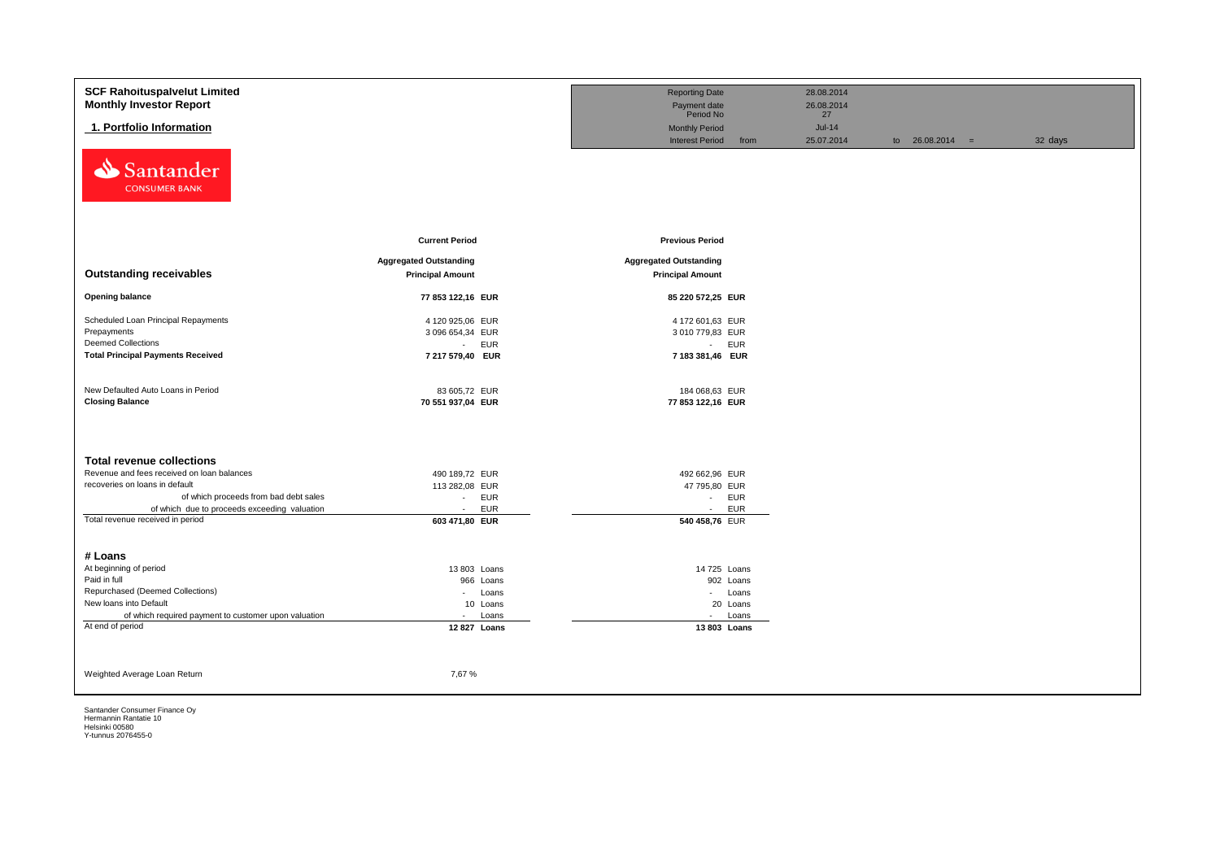| <b>SCF Rahoituspalvelut Limited</b>                  |                               | <b>Reporting Date</b>          | 28.08.2014 |                   |         |
|------------------------------------------------------|-------------------------------|--------------------------------|------------|-------------------|---------|
| <b>Monthly Investor Report</b>                       |                               | Payment date                   | 26.08.2014 |                   |         |
|                                                      |                               | Period No                      | 27         |                   |         |
| 1. Portfolio Information                             |                               | <b>Monthly Period</b>          | $Jul-14$   |                   |         |
|                                                      |                               | <b>Interest Period</b><br>from | 25.07.2014 | to $26.08.2014 =$ | 32 days |
| Santander<br>⇘<br><b>CONSUMER BANK</b>               |                               |                                |            |                   |         |
|                                                      | <b>Current Period</b>         | <b>Previous Period</b>         |            |                   |         |
|                                                      |                               |                                |            |                   |         |
|                                                      | <b>Aggregated Outstanding</b> | <b>Aggregated Outstanding</b>  |            |                   |         |
| <b>Outstanding receivables</b>                       | <b>Principal Amount</b>       | <b>Principal Amount</b>        |            |                   |         |
| <b>Opening balance</b>                               | 77 853 122,16 EUR             | 85 220 572,25 EUR              |            |                   |         |
| Scheduled Loan Principal Repayments                  | 4 120 925,06 EUR              | 4 172 601,63 EUR               |            |                   |         |
| Prepayments                                          | 3 096 654,34 EUR              | 3 010 779,83 EUR               |            |                   |         |
| <b>Deemed Collections</b>                            | <b>EUR</b><br>$\sim$          | - EUR                          |            |                   |         |
| <b>Total Principal Payments Received</b>             | 7 217 579,40 EUR              | 7 183 381,46 EUR               |            |                   |         |
|                                                      |                               |                                |            |                   |         |
| New Defaulted Auto Loans in Period                   | 83 605,72 EUR                 | 184 068,63 EUR                 |            |                   |         |
| <b>Closing Balance</b>                               | 70 551 937,04 EUR             | 77 853 122,16 EUR              |            |                   |         |
|                                                      |                               |                                |            |                   |         |
|                                                      |                               |                                |            |                   |         |
| <b>Total revenue collections</b>                     |                               |                                |            |                   |         |
| Revenue and fees received on loan balances           | 490 189,72 EUR                | 492 662,96 EUR                 |            |                   |         |
| recoveries on loans in default                       | 113 282,08 EUR                | 47 795,80 EUR                  |            |                   |         |
| of which proceeds from bad debt sales                | EUR<br>$\sim$                 | - EUR                          |            |                   |         |
| of which due to proceeds exceeding valuation         | <b>EUR</b><br>$\mathcal{L}$   | <b>EUR</b><br>$\sim$           |            |                   |         |
| Total revenue received in period                     | 603 471,80 EUR                | 540 458,76 EUR                 |            |                   |         |
|                                                      |                               |                                |            |                   |         |
|                                                      |                               |                                |            |                   |         |
| # Loans                                              |                               |                                |            |                   |         |
| At beginning of period<br>Paid in full               | 13 803 Loans                  | 14 725 Loans                   |            |                   |         |
| Repurchased (Deemed Collections)                     | 966 Loans<br>- Loans          | 902 Loans<br>- Loans           |            |                   |         |
| New loans into Default                               | 10 Loans                      | 20 Loans                       |            |                   |         |
| of which required payment to customer upon valuation | Loans<br>$\sim$               | Loans<br>$\sim$                |            |                   |         |
| At end of period                                     | 12 827 Loans                  | 13 803 Loans                   |            |                   |         |
|                                                      |                               |                                |            |                   |         |
|                                                      |                               |                                |            |                   |         |
|                                                      |                               |                                |            |                   |         |
| Weighted Average Loan Return                         | 7,67%                         |                                |            |                   |         |
|                                                      |                               |                                |            |                   |         |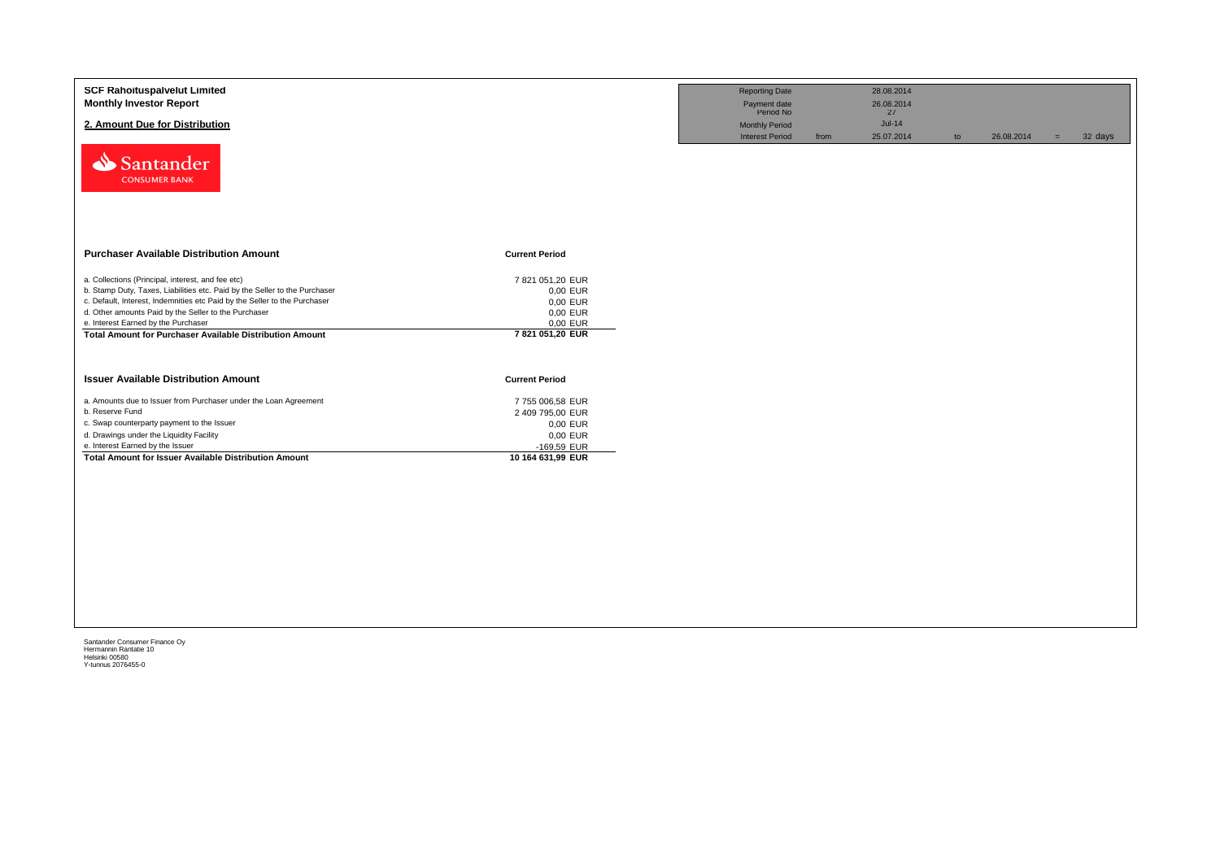| <b>SCF Rahoituspalvelut Limited</b><br><b>Monthly Investor Report</b><br>2. Amount Due for Distribution<br>Santander<br><b>CONSUMER BANK</b>                                                                                                                                                                                                                            |                                                                                                 | <b>Reporting Date</b><br>Payment date<br>Period No<br><b>Monthly Period</b><br><b>Interest Period</b> | from | 28.08.2014<br>26.08.2014<br>27<br>$Jul-14$<br>25.07.2014 | to | 26.08.2014 | $=$ | 32 days |
|-------------------------------------------------------------------------------------------------------------------------------------------------------------------------------------------------------------------------------------------------------------------------------------------------------------------------------------------------------------------------|-------------------------------------------------------------------------------------------------|-------------------------------------------------------------------------------------------------------|------|----------------------------------------------------------|----|------------|-----|---------|
| <b>Purchaser Available Distribution Amount</b>                                                                                                                                                                                                                                                                                                                          | <b>Current Period</b>                                                                           |                                                                                                       |      |                                                          |    |            |     |         |
| a. Collections (Principal, interest, and fee etc)<br>b. Stamp Duty, Taxes, Liabilities etc. Paid by the Seller to the Purchaser<br>c. Default, Interest, Indemnities etc Paid by the Seller to the Purchaser<br>d. Other amounts Paid by the Seller to the Purchaser<br>e. Interest Earned by the Purchaser<br>Total Amount for Purchaser Available Distribution Amount | 7 821 051,20 EUR<br>0,00 EUR<br>0,00 EUR<br>0,00 EUR<br>0,00 EUR<br>7 821 051,20 EUR            |                                                                                                       |      |                                                          |    |            |     |         |
| <b>Issuer Available Distribution Amount</b>                                                                                                                                                                                                                                                                                                                             | <b>Current Period</b>                                                                           |                                                                                                       |      |                                                          |    |            |     |         |
| a. Amounts due to Issuer from Purchaser under the Loan Agreement<br>b. Reserve Fund<br>c. Swap counterparty payment to the Issuer<br>d. Drawings under the Liquidity Facility<br>e. Interest Earned by the Issuer<br>Total Amount for Issuer Available Distribution Amount                                                                                              | 7755 006,58 EUR<br>2 409 795,00 EUR<br>0,00 EUR<br>0,00 EUR<br>-169,59 EUR<br>10 164 631,99 EUR |                                                                                                       |      |                                                          |    |            |     |         |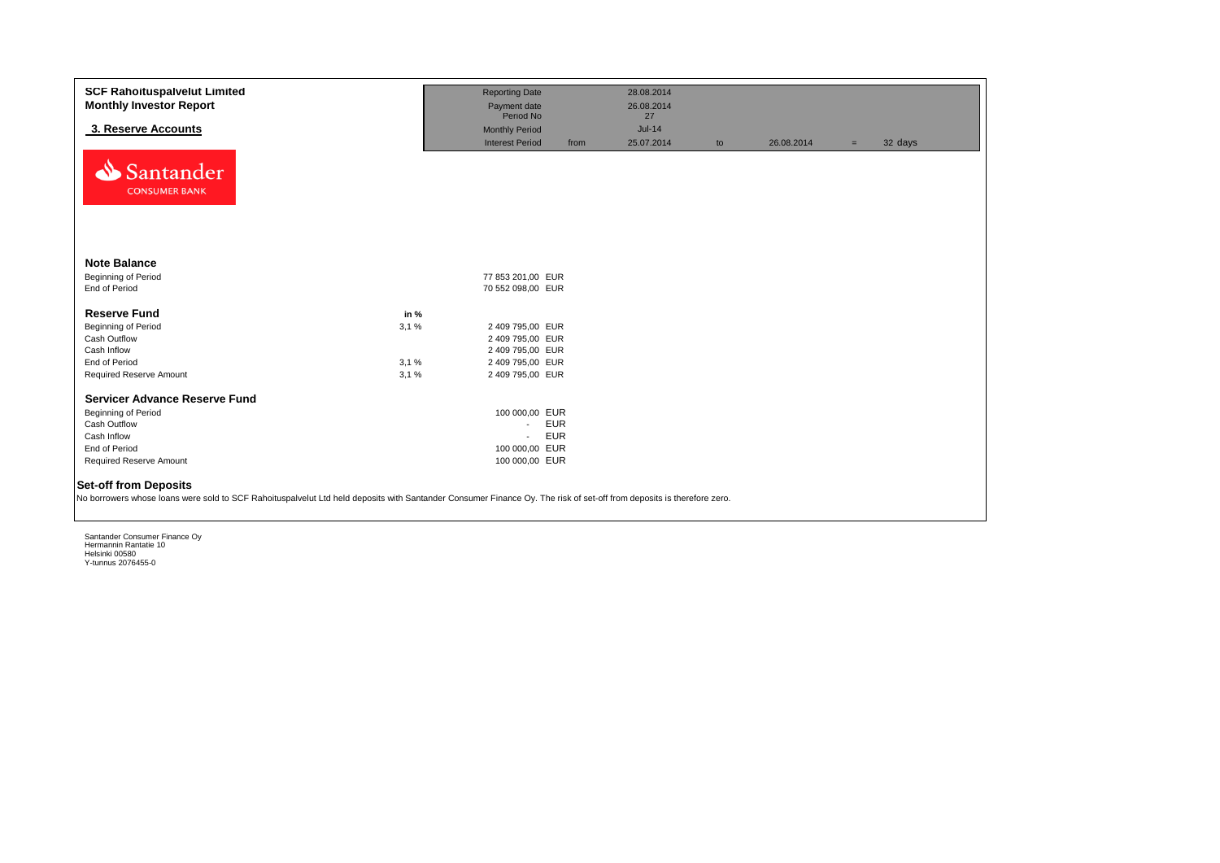| <b>SCF Rahoituspalvelut Limited</b><br><b>Monthly Investor Report</b><br>3. Reserve Accounts<br>Santander                                                                                             |      | <b>Reporting Date</b><br>Payment date<br>Period No<br><b>Monthly Period</b><br><b>Interest Period</b> | from       | 28.08.2014<br>26.08.2014<br>27<br>$Jul-14$<br>25.07.2014 | to | 26.08.2014 | $=$ | 32 days |
|-------------------------------------------------------------------------------------------------------------------------------------------------------------------------------------------------------|------|-------------------------------------------------------------------------------------------------------|------------|----------------------------------------------------------|----|------------|-----|---------|
| <b>CONSUMER BANK</b><br><b>Note Balance</b>                                                                                                                                                           |      |                                                                                                       |            |                                                          |    |            |     |         |
| Beginning of Period                                                                                                                                                                                   |      | 77 853 201,00 EUR                                                                                     |            |                                                          |    |            |     |         |
| End of Period                                                                                                                                                                                         |      | 70 552 098,00 EUR                                                                                     |            |                                                          |    |            |     |         |
| <b>Reserve Fund</b>                                                                                                                                                                                   | in % |                                                                                                       |            |                                                          |    |            |     |         |
| <b>Beginning of Period</b>                                                                                                                                                                            | 3.1% | 2 409 795,00 EUR                                                                                      |            |                                                          |    |            |     |         |
| Cash Outflow                                                                                                                                                                                          |      | 2 409 795,00 EUR                                                                                      |            |                                                          |    |            |     |         |
| Cash Inflow                                                                                                                                                                                           |      | 2 409 795,00 EUR                                                                                      |            |                                                          |    |            |     |         |
| End of Period                                                                                                                                                                                         | 3,1% | 2 409 795,00 EUR                                                                                      |            |                                                          |    |            |     |         |
| Required Reserve Amount                                                                                                                                                                               | 3.1% | 2 409 795,00 EUR                                                                                      |            |                                                          |    |            |     |         |
| <b>Servicer Advance Reserve Fund</b>                                                                                                                                                                  |      |                                                                                                       |            |                                                          |    |            |     |         |
| Beginning of Period                                                                                                                                                                                   |      | 100 000,00 EUR                                                                                        |            |                                                          |    |            |     |         |
| Cash Outflow                                                                                                                                                                                          |      | $\sim$                                                                                                | <b>EUR</b> |                                                          |    |            |     |         |
| Cash Inflow                                                                                                                                                                                           |      | $\mathcal{L}_{\mathcal{A}}$                                                                           | <b>EUR</b> |                                                          |    |            |     |         |
| End of Period                                                                                                                                                                                         |      | 100 000,00 EUR                                                                                        |            |                                                          |    |            |     |         |
| Required Reserve Amount                                                                                                                                                                               |      | 100 000,00 EUR                                                                                        |            |                                                          |    |            |     |         |
| <b>Set-off from Deposits</b><br>No borrowers whose loans were sold to SCF Rahoituspalvelut Ltd held deposits with Santander Consumer Finance Oy. The risk of set-off from deposits is therefore zero. |      |                                                                                                       |            |                                                          |    |            |     |         |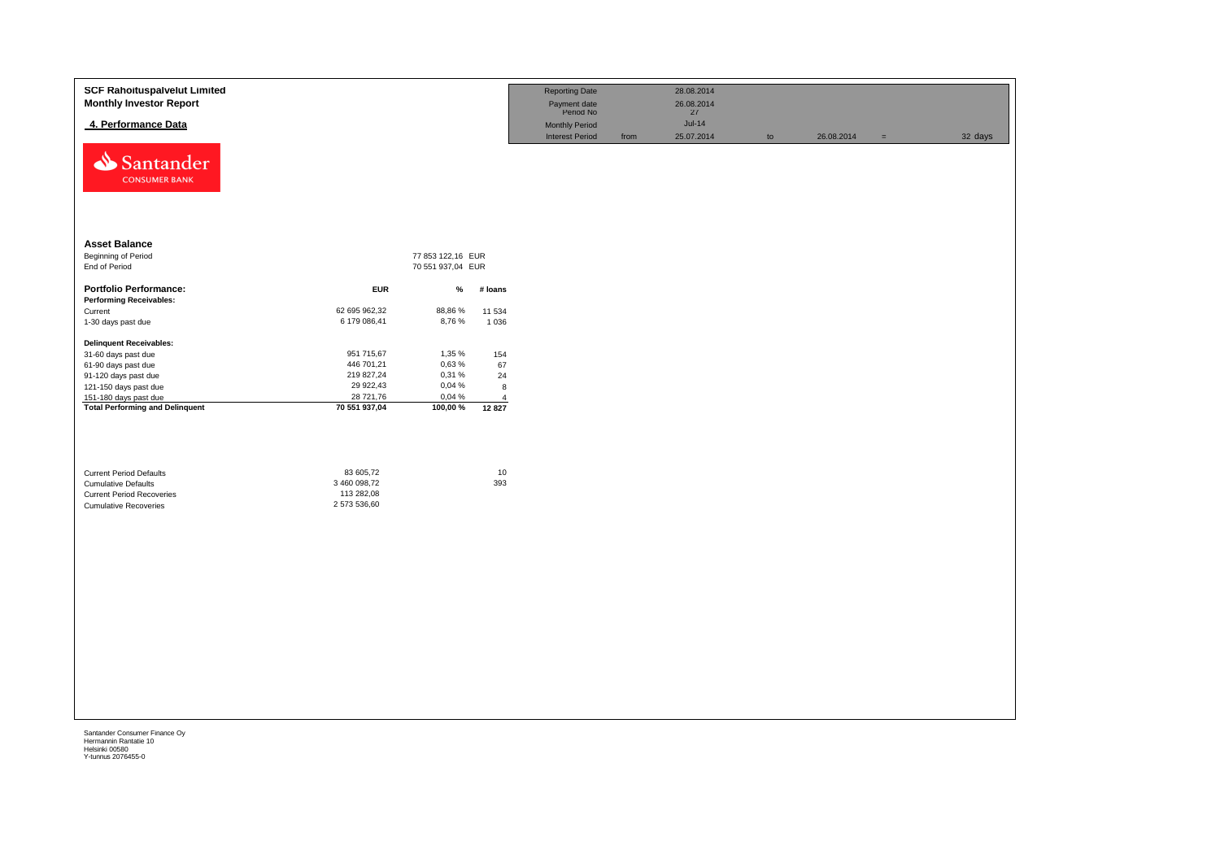| <b>SCF Rahoituspalvelut Limited</b><br><b>Monthly Investor Report</b>                                                            |                                                         |                   |                         | <b>Reporting Date</b><br>Payment date<br>Period No |      | 28.08.2014<br>26.08.2014<br>27 |    |            |          |         |
|----------------------------------------------------------------------------------------------------------------------------------|---------------------------------------------------------|-------------------|-------------------------|----------------------------------------------------|------|--------------------------------|----|------------|----------|---------|
| 4. Performance Data                                                                                                              |                                                         |                   |                         | <b>Monthly Period</b>                              |      | $Jul-14$                       |    |            |          |         |
| Santander<br><b>CONSUMER BANK</b>                                                                                                |                                                         |                   |                         | <b>Interest Period</b>                             | from | 25.07.2014                     | to | 26.08.2014 | $\equiv$ | 32 days |
| <b>Asset Balance</b>                                                                                                             |                                                         |                   |                         |                                                    |      |                                |    |            |          |         |
| Beginning of Period                                                                                                              |                                                         | 77 853 122,16 EUR |                         |                                                    |      |                                |    |            |          |         |
| End of Period                                                                                                                    |                                                         | 70 551 937,04 EUR |                         |                                                    |      |                                |    |            |          |         |
| <b>Portfolio Performance:</b><br><b>Performing Receivables:</b>                                                                  | <b>EUR</b>                                              | $\%$              | # loans                 |                                                    |      |                                |    |            |          |         |
| Current<br>1-30 days past due                                                                                                    | 62 695 962,32<br>6 179 086,41                           | 88,86%<br>8,76%   | 11 534<br>1 0 3 6       |                                                    |      |                                |    |            |          |         |
| <b>Delinquent Receivables:</b>                                                                                                   |                                                         |                   |                         |                                                    |      |                                |    |            |          |         |
| 31-60 days past due                                                                                                              | 951 715,67                                              | 1,35 %            | 154                     |                                                    |      |                                |    |            |          |         |
| 61-90 days past due                                                                                                              | 446 701,21                                              | 0,63%             | 67                      |                                                    |      |                                |    |            |          |         |
| 91-120 days past due                                                                                                             | 219 827,24                                              | 0,31%             | 24                      |                                                    |      |                                |    |            |          |         |
| 121-150 days past due                                                                                                            | 29 922,43                                               | 0,04%             | 8                       |                                                    |      |                                |    |            |          |         |
| 151-180 days past due<br><b>Total Performing and Delinquent</b>                                                                  | 28 721,76<br>70 551 937,04                              | 0,04 %<br>100,00% | $\overline{4}$<br>12827 |                                                    |      |                                |    |            |          |         |
| <b>Current Period Defaults</b><br><b>Cumulative Defaults</b><br><b>Current Period Recoveries</b><br><b>Cumulative Recoveries</b> | 83 605,72<br>3 460 098,72<br>113 282,08<br>2 573 536,60 |                   | $10$<br>393             |                                                    |      |                                |    |            |          |         |
|                                                                                                                                  |                                                         |                   |                         |                                                    |      |                                |    |            |          |         |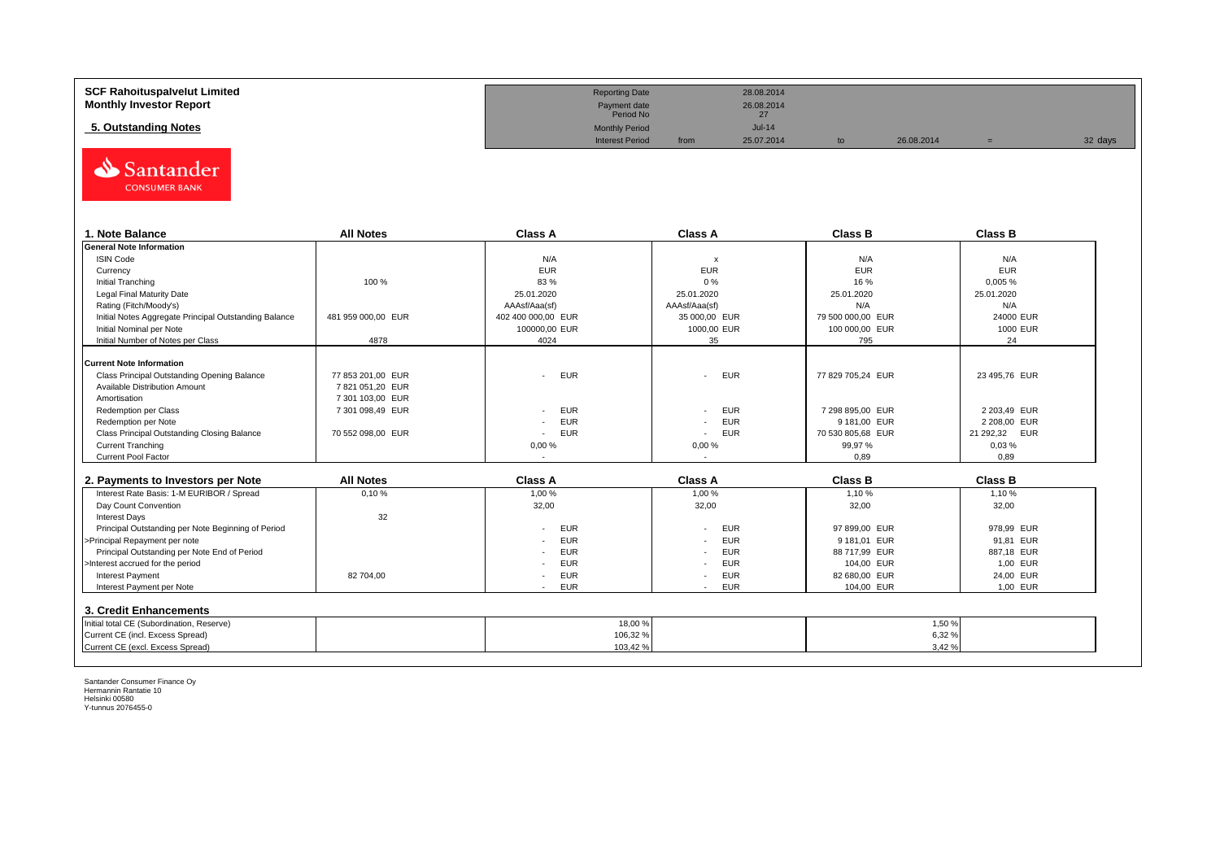| <b>SCF Rahoituspalvelut Limited</b> | <b>Reporting Date</b>     |      | 28.08.2014    |            |         |
|-------------------------------------|---------------------------|------|---------------|------------|---------|
| <b>Monthly Investor Report</b>      | Payment date<br>Period No |      | 26.08.2014    |            |         |
| 5. Outstanding Notes                | <b>Monthly Period</b>     |      | <b>Jul-14</b> |            |         |
|                                     | <b>Interest Period</b>    | from | 25.07.2014    | 26.08.2014 | 32 days |



| 1. Note Balance                                       | <b>All Notes</b>   | <b>Class A</b>                         | <b>Class A</b>            | <b>Class B</b>    | <b>Class B</b> |
|-------------------------------------------------------|--------------------|----------------------------------------|---------------------------|-------------------|----------------|
| <b>General Note Information</b>                       |                    |                                        |                           |                   |                |
| <b>ISIN Code</b>                                      |                    | N/A                                    | $\boldsymbol{\mathsf{x}}$ | N/A               | N/A            |
| Currency                                              |                    | <b>EUR</b>                             | <b>EUR</b>                | <b>EUR</b>        | <b>EUR</b>     |
| Initial Tranching                                     | 100 %              | 83%                                    | 0%                        | 16%               | 0,005%         |
| Legal Final Maturity Date                             |                    | 25.01.2020                             | 25.01.2020                | 25.01.2020        | 25.01.2020     |
| Rating (Fitch/Moody's)                                |                    | AAAsf/Aaa(sf)                          | AAAsf/Aaa(sf)             | N/A               | N/A            |
| Initial Notes Aggregate Principal Outstanding Balance | 481 959 000.00 EUR | 402 400 000,00 EUR                     | 35 000,00 EUR             | 79 500 000,00 EUR | 24000 EUR      |
| Initial Nominal per Note                              |                    | 100000,00 EUR                          | 1000,00 EUR               | 100 000,00 EUR    | 1000 EUR       |
| Initial Number of Notes per Class                     | 4878               | 4024                                   | 35                        | 795               | 24             |
|                                                       |                    |                                        |                           |                   |                |
| <b>Current Note Information</b>                       |                    |                                        |                           |                   |                |
| Class Principal Outstanding Opening Balance           | 77 853 201,00 EUR  | <b>EUR</b>                             | EUR                       | 77 829 705.24 EUR | 23 495,76 EUR  |
| Available Distribution Amount                         | 7 821 051,20 EUR   |                                        |                           |                   |                |
| Amortisation                                          | 7 301 103,00 EUR   |                                        |                           |                   |                |
| Redemption per Class                                  | 7 301 098,49 EUR   | <b>EUR</b>                             | EUR                       | 7 298 895,00 EUR  | 2 203.49 EUR   |
| Redemption per Note                                   |                    | <b>EUR</b>                             | EUR                       | 9 181.00 EUR      | 2 208,00 EUR   |
| Class Principal Outstanding Closing Balance           | 70 552 098.00 EUR  | <b>EUR</b><br>$\overline{\phantom{a}}$ | EUR                       | 70 530 805,68 EUR | 21 292,32 EUR  |
| <b>Current Tranching</b>                              |                    | 0,00%                                  | 0,00%                     | 99,97 %           | 0,03%          |
| <b>Current Pool Factor</b>                            |                    |                                        |                           | 0.89              | 0,89           |

| 2. Payments to Investors per Note                  | <b>All Notes</b> | <b>Class A</b> | <b>Class A</b> | <b>Class B</b> | <b>Class B</b> |
|----------------------------------------------------|------------------|----------------|----------------|----------------|----------------|
| Interest Rate Basis: 1-M EURIBOR / Spread          | 0.10%            | 1.00 %         | 1.00%          | 1.10 %         | 1,10%          |
| Day Count Convention                               |                  | 32,00          | 32,00          | 32.00          | 32,00          |
| <b>Interest Days</b>                               | 32               |                |                |                |                |
| Principal Outstanding per Note Beginning of Period |                  | <b>EUR</b>     | <b>EUR</b>     | 97 899.00 EUR  | 978.99 EUR     |
| >Principal Repayment per note                      |                  | <b>EUR</b>     | <b>EUR</b>     | 9 181.01 EUR   | 91.81 EUR      |
| Principal Outstanding per Note End of Period       |                  | EUR            | <b>EUR</b>     | 88 717.99 EUR  | 887.18 EUR     |
| >Interest accrued for the period                   |                  | <b>EUR</b>     | <b>EUR</b>     | 104.00 EUR     | 1.00 EUR       |
| <b>Interest Payment</b>                            | 82 704.00        | <b>EUR</b>     | <b>EUR</b>     | 82 680.00 EUR  | 24.00 EUR      |
| Interest Payment per Note                          |                  | <b>EUR</b>     | <b>EUR</b>     | 104,00 EUR     | 1,00 EUR       |
| 3. Credit Enhancements                             |                  |                |                |                |                |
| Initial total CE (Subordination, Reserve)          |                  |                | 18,00 %        |                | 1,50 %         |
| Current CE (incl. Excess Spread)                   |                  |                | 106,32%        |                | 6,32%          |
| Current CE (excl. Excess Spread)                   |                  |                | 103,42 %       |                | 3,42 %         |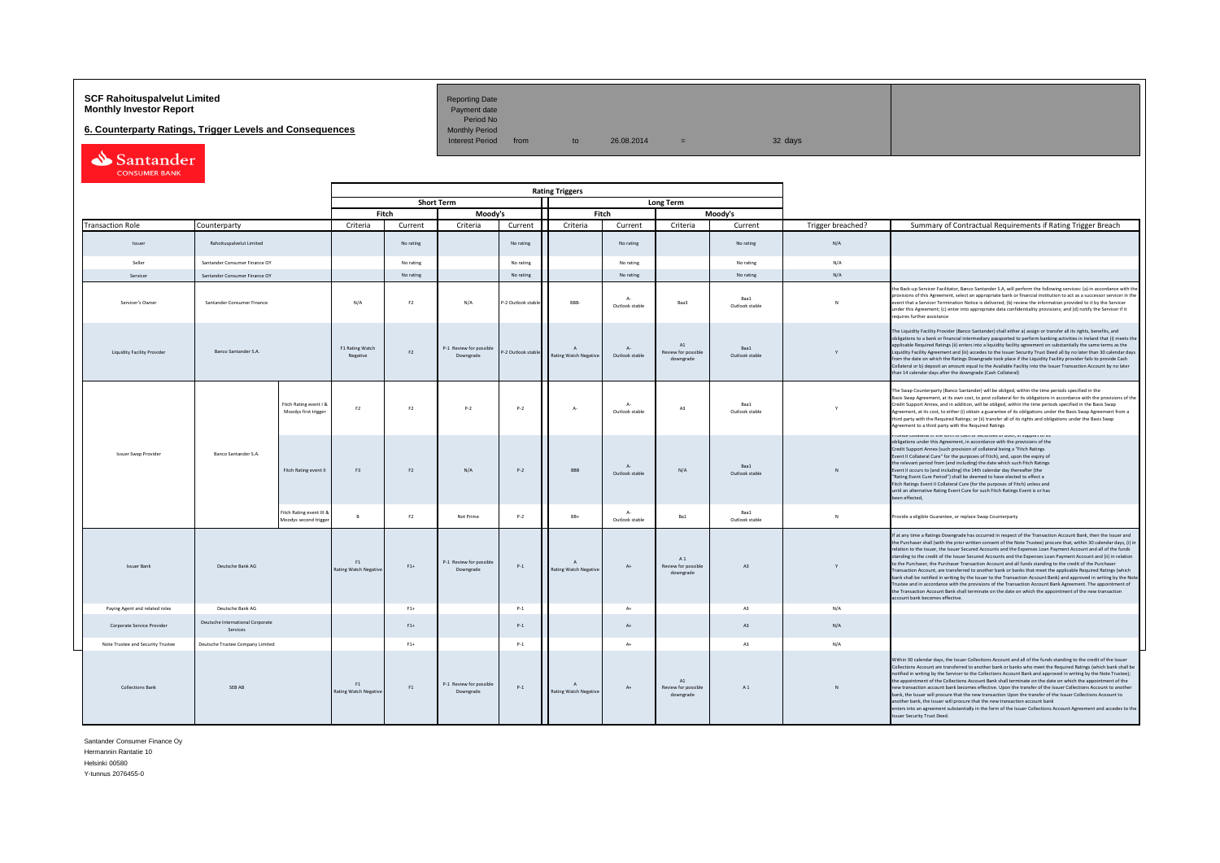# **SCF Rahoituspalvelut Limited Accord Reporting Date**<br>**Monthly Investor Report** Payment date **Payment date**

**6. Counterparty Ratings, Trigger Levels and Consequences**<br>Monthly Period Monthly Period from

Period No<br>Monthly Period

 $10 \t 26.08.2014 = 32 \text{ days}$ 

| Santander            |
|----------------------|
| <b>CONSUMER BANK</b> |

|                                   |                                              |                                                  |                                    |                |                                      | <b>Rating Triggers</b> |                                                |                               |                                                 |                        |                   |                                                                                                                                                                                                                                                                                                                                                                                                                                                                                                                                                                                                                                                                                                                                                                                                                                                                                                                                                                                                                                                                                                      |
|-----------------------------------|----------------------------------------------|--------------------------------------------------|------------------------------------|----------------|--------------------------------------|------------------------|------------------------------------------------|-------------------------------|-------------------------------------------------|------------------------|-------------------|------------------------------------------------------------------------------------------------------------------------------------------------------------------------------------------------------------------------------------------------------------------------------------------------------------------------------------------------------------------------------------------------------------------------------------------------------------------------------------------------------------------------------------------------------------------------------------------------------------------------------------------------------------------------------------------------------------------------------------------------------------------------------------------------------------------------------------------------------------------------------------------------------------------------------------------------------------------------------------------------------------------------------------------------------------------------------------------------------|
|                                   |                                              |                                                  |                                    |                | <b>Short Term</b>                    |                        |                                                |                               | Long Term                                       |                        |                   |                                                                                                                                                                                                                                                                                                                                                                                                                                                                                                                                                                                                                                                                                                                                                                                                                                                                                                                                                                                                                                                                                                      |
|                                   |                                              |                                                  |                                    | Fitch          | Moody's                              |                        | Fitch                                          |                               |                                                 | Moody's                |                   |                                                                                                                                                                                                                                                                                                                                                                                                                                                                                                                                                                                                                                                                                                                                                                                                                                                                                                                                                                                                                                                                                                      |
| <b>Transaction Role</b>           | Counterparty                                 |                                                  | Criteria                           | Current        | Criteria                             | Current                | Criteria                                       | Current                       | Criteria                                        | Current                | Trigger breached? | Summary of Contractual Requirements if Rating Trigger Breach                                                                                                                                                                                                                                                                                                                                                                                                                                                                                                                                                                                                                                                                                                                                                                                                                                                                                                                                                                                                                                         |
| <b>Issuer</b>                     | Rahoituspalvelut Limited                     |                                                  |                                    | No rating      |                                      | No rating              |                                                | No rating                     |                                                 | No rating              | N/A               |                                                                                                                                                                                                                                                                                                                                                                                                                                                                                                                                                                                                                                                                                                                                                                                                                                                                                                                                                                                                                                                                                                      |
| Seller                            | Santander Consumer Finance OY                |                                                  |                                    | No rating      |                                      | No rating              |                                                | No rating                     |                                                 | No rating              | N/A               |                                                                                                                                                                                                                                                                                                                                                                                                                                                                                                                                                                                                                                                                                                                                                                                                                                                                                                                                                                                                                                                                                                      |
| Servicer                          | Santander Consumer Finance OY                |                                                  |                                    | No rating      |                                      | No rating              |                                                | No rating                     |                                                 | No rating              | N/A               |                                                                                                                                                                                                                                                                                                                                                                                                                                                                                                                                                                                                                                                                                                                                                                                                                                                                                                                                                                                                                                                                                                      |
| Servicer's Owner                  | Santander Consumer Finance                   |                                                  | N/A                                | F <sub>2</sub> | N/A                                  | P-2 Outlook stable     | BBB-                                           | Δ.<br>Outlook stable          | Baa3                                            | Baa1<br>Outlook stable |                   | the Back-up Servicer Facilitator, Banco Santander S.A, will perform the following services: (a) in accordance with th<br>provisions of this Agreement, select an appropriate bank or financial institution to act as a successor servicer in the<br>event that a Servicer Termination Notice is delivered; (b) review the information provided to it by the Servicer<br>under this Agreement; (c) enter into appropriate data confidentiality provisions; and (d) notify the Servicer if it<br>requires further assistance                                                                                                                                                                                                                                                                                                                                                                                                                                                                                                                                                                           |
| Liquidity Facility Provider       | Banco Santander S.A.                         |                                                  | F1 Rating Watch<br>Negative        | F2             | P-1 Review for possible<br>Downgrade | P-2 Outlook stable     | Rating Watch Negative                          | $\Lambda$ -<br>Outlook stable | $\Lambda$ 1<br>Review for possible<br>downgrade | Baa1<br>Outlook stable |                   | The Liquidity Facility Provider (Banco Santander) shall either a) assign or transfer all its rights, benefits, and<br>obligations to a bank or financial intermediary passported to perform banking activities in Ireland that (i) meets the<br>applicable Required Ratings (ii) enters into a liquidity facility agreement on substantially the same terms as the<br>Liquidity Facility Agreement and (iii) accedes to the Issuer Security Trust Deed all by no later than 30 calendar days<br>from the date on which the Ratings Downgrade took place if the Liquidity Facility provider fails to provide Cash<br>Collateral or b) deposit an amount equal to the Available Facility into the Issuer Transaction Account by no later<br>than 14 calendar days after the downgrade (Cash Collateral)                                                                                                                                                                                                                                                                                                |
|                                   |                                              | Fitch Rating event I &<br>Moodys first trigger   | F <sub>2</sub>                     | F2             | $P-2$                                | $P-2$                  | $A -$                                          | $\Lambda$ -<br>Outlook stable | A3                                              | Baa1<br>Outlook stable |                   | The Swap Counterparty (Banco Santander) will be obliged, within the time periods specified in the<br>Basis Swap Agreement, at its own cost, to post collateral for its obligations in accordance with the provisions of the<br>Credit Support Annex, and in addition, will be obliged, within the time periods specified in the Basis Swap<br>Agreement, at its cost, to either (i) obtain a guarantee of its obligations under the Basis Swap Agreement from a<br>third party with the Required Ratings; or (ii) transfer all of its rights and obligations under the Basis Swap<br>Agreement to a third party with the Required Ratings                                                                                                                                                                                                                                                                                                                                                                                                                                                            |
| Issuer Swap Provider              | Banco Santander S.A                          | Fitch Rating event II                            | F3                                 | F <sub>2</sub> | N/A                                  | $P-2$                  | <b>RRR</b>                                     | $\Lambda$<br>Outlook stable   | N/A                                             | Baa1<br>Outlook stable | N                 | гтомые соласстанн отелонн от саят от зесыноез от роон, ли зарронс от пз<br>obligations under this Agreement, in accordance with the provisions of the<br>Credit Support Annex (such provision of collateral being a "Fitch Ratings<br>Event II Collateral Cure" for the purposes of Fitch), and, upon the expiry of<br>the relevant period from (and including) the date which such Fitch Ratings<br>Event II occurs to (and including) the 14th calendar day thereafter (the<br>"Rating Event Cure Period") shall be deemed to have elected to effect a<br>Fitch Ratings Event II Collateral Cure (for the purposes of Fitch) unless and<br>until an alternative Rating Event Cure for such Fitch Ratings Event is or has<br>been effected,                                                                                                                                                                                                                                                                                                                                                         |
|                                   |                                              | Fitch Rating event III &<br>Moodys second trigge | <b>R</b>                           | F2             | Not Prime                            | $P-2$                  | BB+                                            | $\Lambda$ -<br>Outlook stable | Ba1                                             | Raa1<br>Outlook stable | $\mathbb{N}$      | Provide a eligible Guarantee, or replace Swap Counterparty                                                                                                                                                                                                                                                                                                                                                                                                                                                                                                                                                                                                                                                                                                                                                                                                                                                                                                                                                                                                                                           |
| <b>Issuer Bank</b>                | Deutsche Bank AG                             |                                                  | F1<br><b>Rating Watch Negative</b> | $F1+$          | P-1 Review for possible<br>Downgrade | $P-1$                  | $\overline{A}$<br><b>Rating Watch Negative</b> | $A+$                          | A1<br>Review for possible<br>downgrade          | A3                     | Y                 | If at any time a Ratings Downgrade has occurred in respect of the Transaction Account Bank, then the Issuer and<br>the Purchaser shall (with the prior written consent of the Note Trustee) procure that, within 30 calendar days, (i) in<br>relation to the Issuer, the Issuer Secured Accounts and the Expenses Loan Payment Account and all of the funds<br>standing to the credit of the Issuer Secured Accounts and the Expenses Loan Payment Account and (ii) in relation<br>to the Purchaser, the Purchaser Transaction Account and all funds standing to the credit of the Purchaser<br>Transaction Account, are transferred to another bank or banks that meet the applicable Required Ratings (which<br>bank shall be notified in writing by the Issuer to the Transaction Account Bank) and approved in writing by the Note<br>Trustee and in accordance with the provisions of the Transaction Account Bank Agreement. The appointment of<br>the Transaction Account Bank shall terminate on the date on which the appointment of the new transaction<br>account bank becomes effective. |
| Paying Agent and related roles    | Deutsche Bank AG                             |                                                  |                                    | $F1+$          |                                      | $P-1$                  |                                                | $A+$                          |                                                 | A <sub>3</sub>         | N/A               |                                                                                                                                                                                                                                                                                                                                                                                                                                                                                                                                                                                                                                                                                                                                                                                                                                                                                                                                                                                                                                                                                                      |
| Corporate Service Provider        | Deutsche International Corporate<br>Services |                                                  |                                    | $F1+$          |                                      | $P-1$                  |                                                | $A+$                          |                                                 | A3                     | N/A               |                                                                                                                                                                                                                                                                                                                                                                                                                                                                                                                                                                                                                                                                                                                                                                                                                                                                                                                                                                                                                                                                                                      |
| Note Trustee and Security Trustee | Deutsche Trustee Company Limited             |                                                  |                                    | $F1+$          |                                      | $P-1$                  |                                                | $A+$                          |                                                 | A3                     | N/A               |                                                                                                                                                                                                                                                                                                                                                                                                                                                                                                                                                                                                                                                                                                                                                                                                                                                                                                                                                                                                                                                                                                      |
| Collections Bank                  | <b>SFRAR</b>                                 |                                                  | F1<br>Rating Watch Negative        | F1             | P-1 Review for possible<br>Downgrade | $P-1$                  | $\Lambda$<br>Rating Watch Negative             | $A+$                          | A1<br>Review for possible<br>downgrade          | A1                     | N                 | Within 30 calendar days, the Issuer Collections Account and all of the funds standing to the credit of the Issuer<br>Collections Account are transferred to another bank or banks who meet the Required Ratings (which bank shall be<br>notified in writing by the Servicer to the Collections Account Bank and approved in writing by the Note Trustee);<br>the appointment of the Collections Account Bank shall terminate on the date on which the appointment of the<br>new transaction account bank becomes effective. Upon the transfer of the Issuer Collections Account to another<br>bank, the Issuer will procure that the new transaction Upon the transfer of the Issuer Collections Acopunt to<br>another bank, the Issuer will procure that the new transaction account bank<br>enters into an agreement substantially in the form of the Issuer Collections Account Agreement and accedes to the<br><b>Issuer Security Trust Deed.</b>                                                                                                                                                |

Santander Consumer Finance Oy Hermannin Rantatie 10

Helsinki 00580

Y-tunnus 2076455-0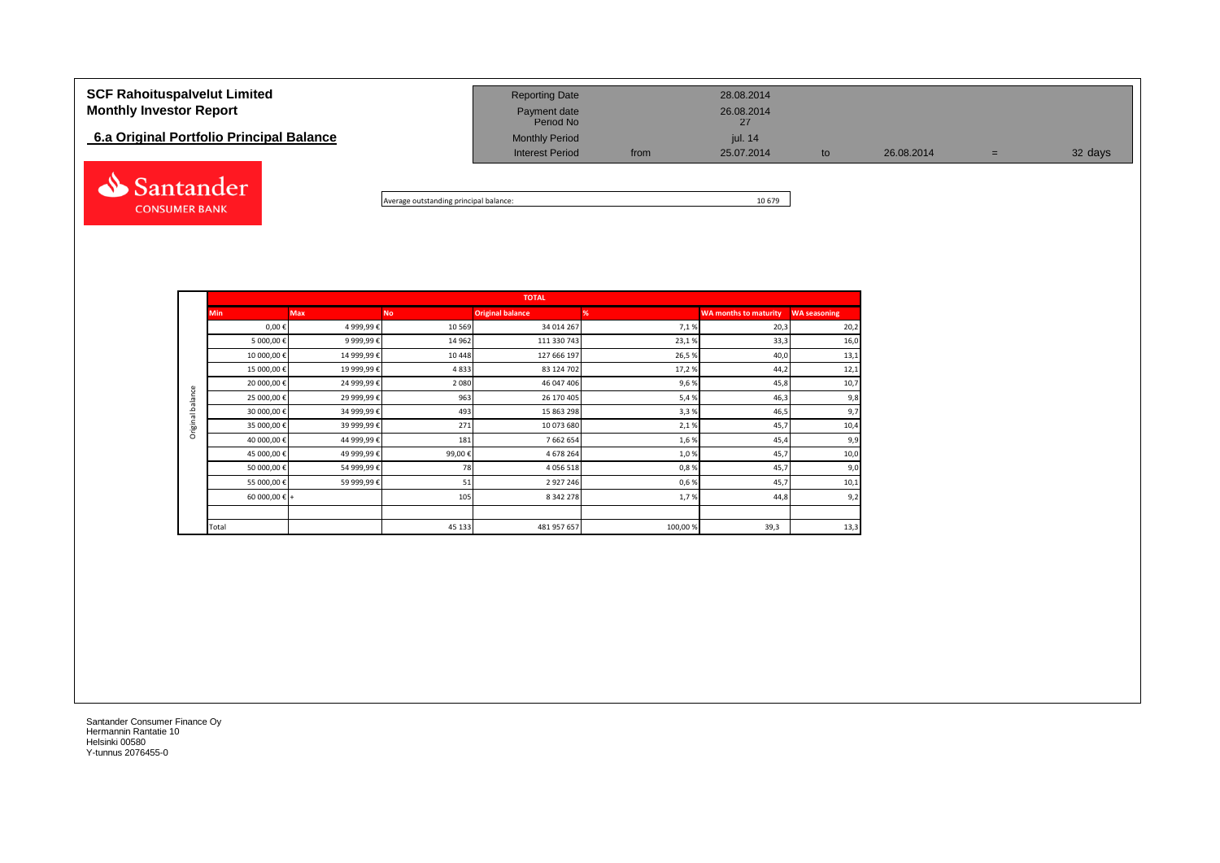# **SCF Rahoituspalvelut Limited** 28.08.2014 **Monthly Investor Report Payment date** 26.08.2014 Payment date<br>Period No **6.a Original Portfolio Principal Balance** Monthly Period Monthly Period jul. 14 Interest Period from 25.07.2014 to 26.08.2014 = 32 days Santander



|                  |               |             |           | <b>TOTAL</b>            |         |                              |                     |
|------------------|---------------|-------------|-----------|-------------------------|---------|------------------------------|---------------------|
|                  | <b>Min</b>    | <b>Max</b>  | <b>No</b> | <b>Original balance</b> | %       | <b>WA months to maturity</b> | <b>WA seasoning</b> |
|                  | $0,00 \in$    | 4 999,99€   | 10 5 69   | 34 014 267              | 7,1%    | 20,3                         | 20,2                |
|                  | 5 000,00 €    | 9 999,99€   | 14 9 62   | 111 330 743             | 23,1%   | 33,3                         | 16,0                |
|                  | 10 000,00 €   | 14 999,99€  | 10 4 48   | 127 666 197             | 26,5%   | 40,0                         | 13,1                |
|                  | 15 000,00 €   | 19 999,99€  | 4833      | 83 124 702              | 17,2%   | 44,2                         | 12,1                |
|                  | 20 000,00 €   | 24 999,99 € | 2080      | 46 047 406              | 9,6%    | 45,8                         | 10,7                |
| Original balance | 25 000,00 €   | 29 999,99 € | 963       | 26 170 405              | 5,4%    | 46,3                         | 9,8                 |
|                  | 30 000,00 €   | 34 999,99 € | 493       | 15 863 298              | 3,3%    | 46,5                         | 9,7                 |
|                  | 35 000,00 €   | 39 999,99 € | 271       | 10 073 680              | 2,1%    | 45,7                         | 10,4                |
|                  | 40 000,00 €   | 44 999,99 € | 181       | 7 662 654               | 1,6%    | 45,4                         | 9,9                 |
|                  | 45 000,00 €   | 49 999,99€  | 99,00€    | 4 678 264               | 1,0%    | 45,7                         | 10,0                |
|                  | 50 000,00 €   | 54 999,99€  | 78        | 4 0 5 6 5 1 8           | 0,8%    | 45,7                         | 9,0                 |
|                  | 55 000,00 €   | 59 999,99 € | 51        | 2 9 2 7 2 4 6           | 0,6%    | 45,7                         | 10,1                |
|                  | 60 000,00 € + |             | 105       | 8 342 278               | 1,7%    | 44,8                         | 9,2                 |
|                  |               |             |           |                         |         |                              |                     |
|                  | Total         |             | 45 133    | 481 957 657             | 100,00% | 39,3                         | 13,3                |

Santander Consumer Finance Oy Hermannin Rantatie 10 Helsinki 00580 Y-tunnus 2076455-0

**CONSUMER BANK**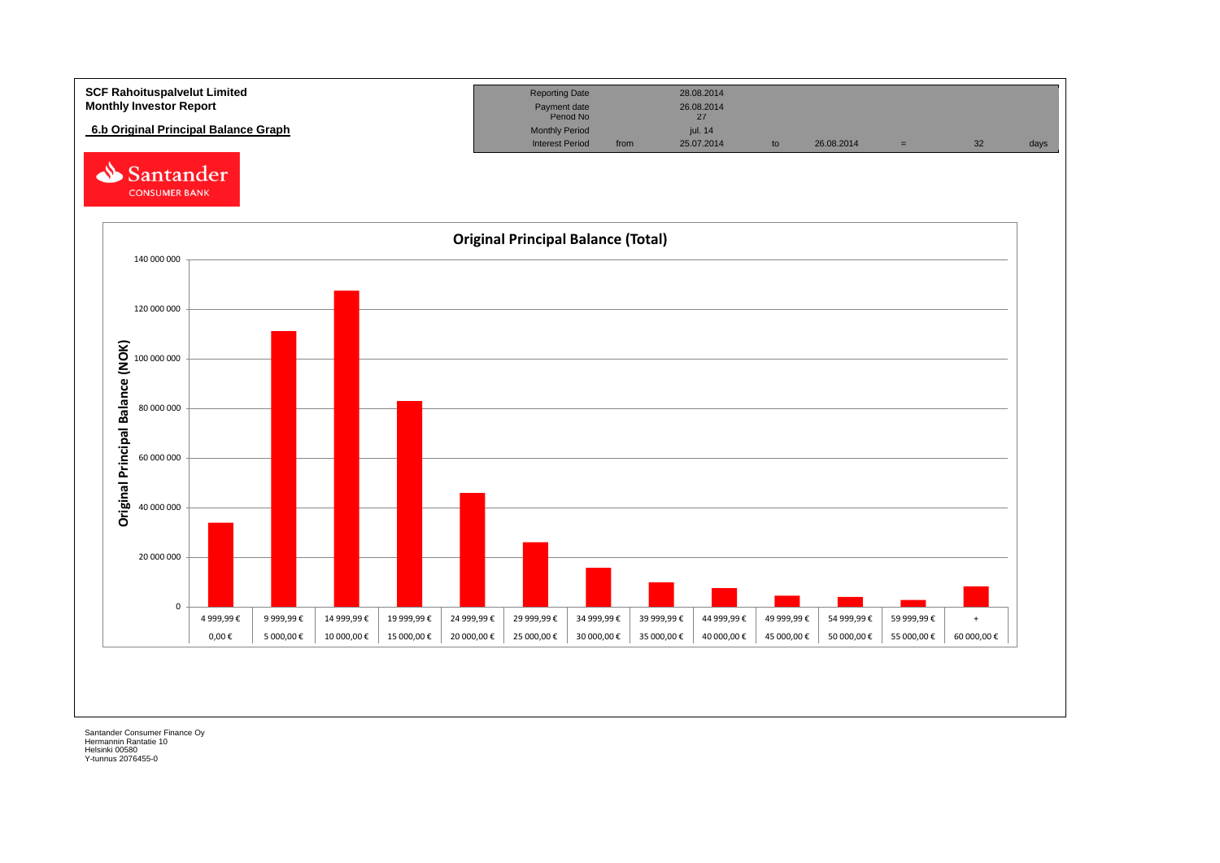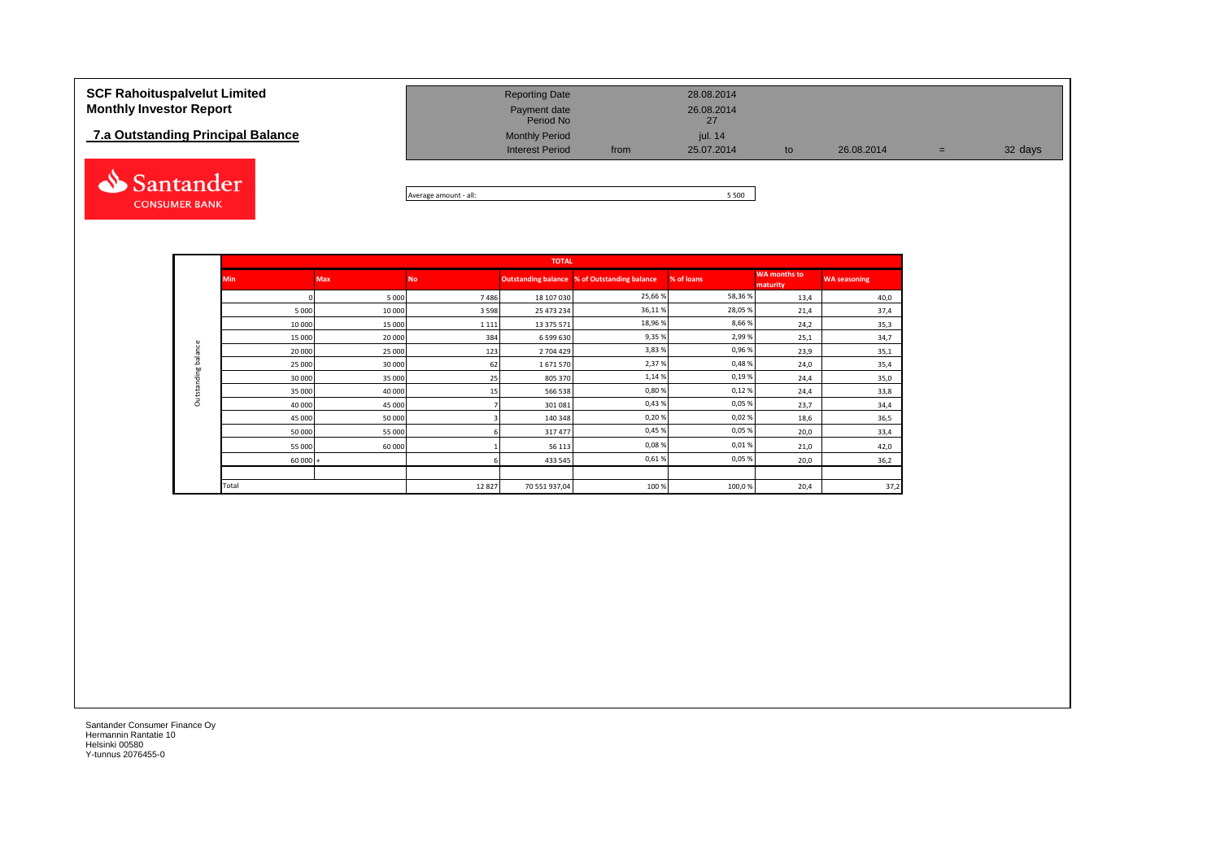### **7.a Outstanding Principal Balance**



| <b>SCF Rahoituspalvelut Limited</b><br><b>Monthly Investor Report</b> | <b>Reporting Date</b><br>Payment date<br>Period No |      | 28.08.2014<br>26.08.2014 |    |            |     |         |
|-----------------------------------------------------------------------|----------------------------------------------------|------|--------------------------|----|------------|-----|---------|
| 7.a Outstanding Principal Balance                                     | <b>Monthly Period</b><br><b>Interest Period</b>    | from | iul. 14<br>25.07.2014    | to | 26.08.2014 | $=$ | 32 days |
|                                                                       |                                                    |      |                          |    |            |     |         |

Average amount - all: 5 500

|             |           |            |           | <b>TOTAL</b>  |                                              |            |                                 |                     |
|-------------|-----------|------------|-----------|---------------|----------------------------------------------|------------|---------------------------------|---------------------|
|             | Min       | <b>Max</b> | <b>No</b> |               | Outstanding balance % of Outstanding balance | % of loans | <b>WA months to</b><br>maturity | <b>WA seasoning</b> |
|             |           | 5 0 0 0    | 7486      | 18 107 030    | 25,66%                                       | 58,36%     | 13,4                            | 40,0                |
|             | 5 0 0 0   | 10 000     | 3 5 9 8   | 25 473 234    | 36,11%                                       | 28,05%     | 21,4                            | 37,4                |
|             | 10 000    | 15 000     | 1 1 1 1   | 13 375 571    | 18,96%                                       | 8,66%      | 24,2                            | 35,3                |
|             | 15 000    | 20 000     | 384       | 6 599 630     | 9,35%                                        | 2,99%      | 25,1                            | 34,7                |
| balance     | 20 000    | 25 000     | 123       | 2 704 429     | 3,83%                                        | 0,96%      | 23,9                            | 35,1                |
|             | 25 000    | 30 000     | 62        | 1671570       | 2,37%                                        | 0,48%      | 24,0                            | 35,4                |
| Outstanding | 30 000    | 35 000     | 25        | 805 370       | 1,14%                                        | 0,19%      | 24,4                            | 35,0                |
|             | 35 000    | 40 000     | 15        | 566 538       | 0,80%                                        | 0,12%      | 24,4                            | 33,8                |
|             | 40 000    | 45 000     |           | 301 081       | 0,43%                                        | 0,05%      | 23,7                            | 34,4                |
|             | 45 000    | 50 000     |           | 140 348       | 0,20%                                        | 0,02%      | 18,6                            | 36,5                |
|             | 50 000    | 55 000     |           | 317 477       | 0,45%                                        | 0,05%      | 20,0                            | 33,4                |
|             | 55 000    | 60 000     |           | 56 113        | 0,08%                                        | 0,01%      | 21,0                            | 42,0                |
|             | $60000 +$ |            |           | 433 545       | 0,61%                                        | 0,05%      | 20,0                            | 36,2                |
|             |           |            |           |               |                                              |            |                                 |                     |
|             | Total     |            | 12827     | 70 551 937,04 | 100%                                         | 100,0%     | 20,4                            | 37,2                |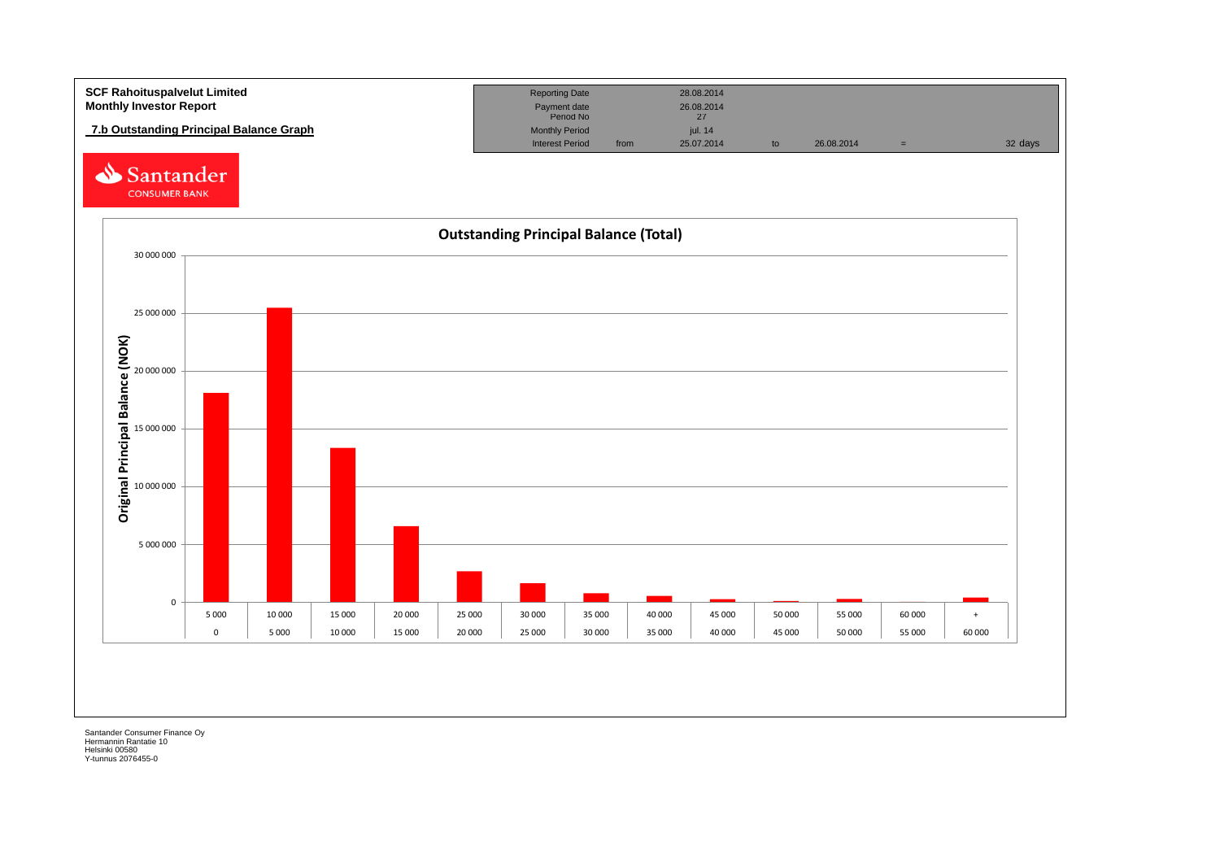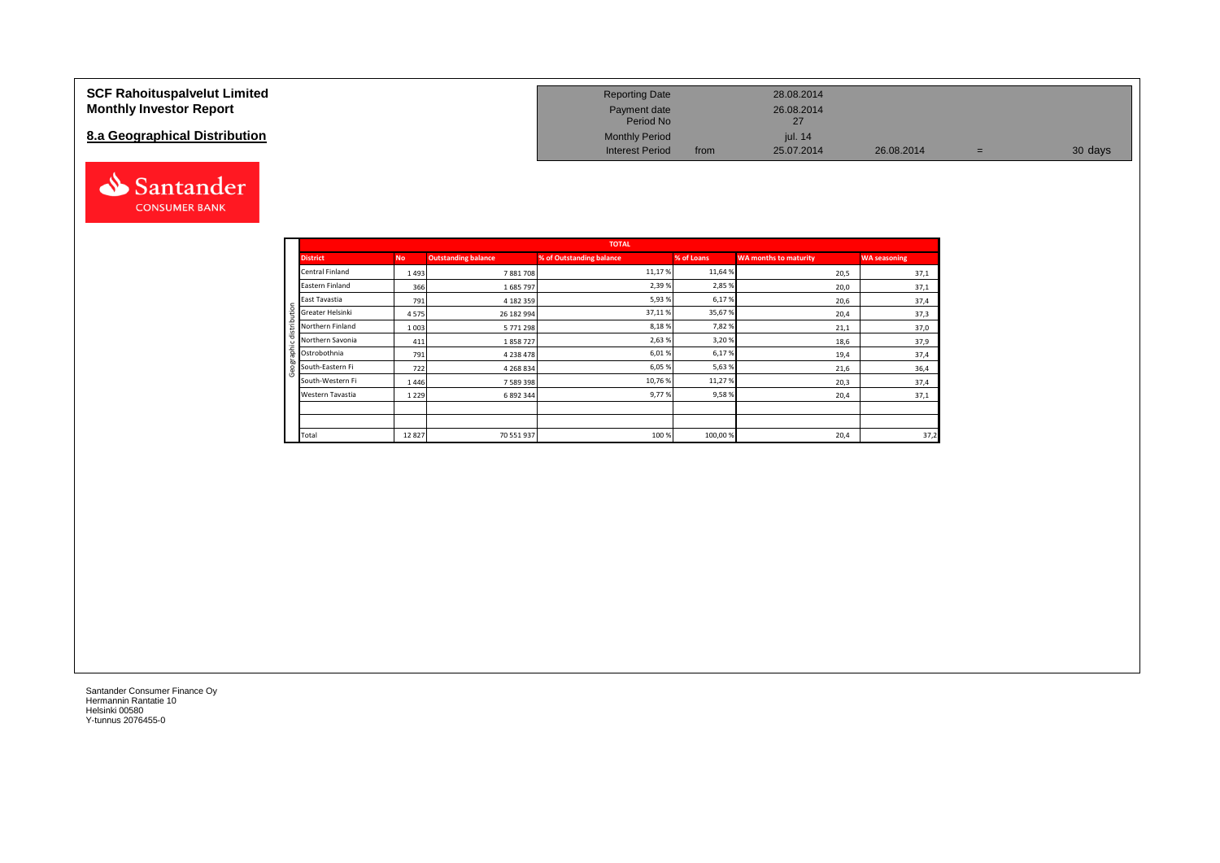#### **SCF Rahoituspalvelut Limited Monthly Investor Report**

#### **8.a Geographical Distribution**



| <b>Reporting Date</b>     |      | 28.08.2014       |            |   |         |
|---------------------------|------|------------------|------------|---|---------|
| Payment date<br>Period No |      | 26.08.2014<br>27 |            |   |         |
| <b>Monthly Period</b>     |      | jul. 14          |            |   |         |
| <b>Interest Period</b>    | from | 25.07.2014       | 26.08.2014 | = | 30 days |

|                       |           |                            | <b>TOTAL</b>             |            |                              |                     |
|-----------------------|-----------|----------------------------|--------------------------|------------|------------------------------|---------------------|
| <b>District</b>       | <b>No</b> | <b>Outstanding balance</b> | % of Outstanding balance | % of Loans | <b>WA months to maturity</b> | <b>WA seasoning</b> |
| Central Finland       | 1493      | 7881708                    | 11,17%                   | 11,64 %    | 20,5                         | 37,1                |
| Eastern Finland       | 366       | 1685797                    | 2,39%                    | 2,85 %     | 20,0                         | 37,1                |
| East Tavastia         | 791       | 4 182 359                  | 5,93%                    | 6,17%      | 20,6                         | 37,4                |
| Greater Helsinki<br>₽ | 4575      | 26 182 994                 | 37,11%                   | 35,67%     | 20,4                         | 37,3                |
| 욬<br>Northern Finland | 1 0 0 3   | 5771298                    | 8,18%                    | 7,82%      | 21,1                         | 37,0                |
| ₹<br>Northern Savonia | 411       | 1858727                    | 2,63%                    | 3,20%      | 18,6                         | 37,9                |
| nge<br>Ostrobothnia   | 791       | 4 2 3 8 4 7 8              | 6,01%                    | 6,17%      | 19,4                         | 37,4                |
| South-Eastern Fi      | 722       | 4 2 6 8 8 3 4              | 6,05 %                   | 5,63%      | 21,6                         | 36,4                |
| South-Western Fi      | 1446      | 7 589 398                  | 10,76%                   | 11,27%     | 20,3                         | 37,4                |
| Western Tavastia      | 1 2 2 9   | 6 892 344                  | 9,77%                    | 9,58%      | 20,4                         | 37,1                |
|                       |           |                            |                          |            |                              |                     |
|                       |           |                            |                          |            |                              |                     |
| Total                 | 12827     | 70 551 937                 | 100%                     | 100,00%    | 20,4                         | 37,2                |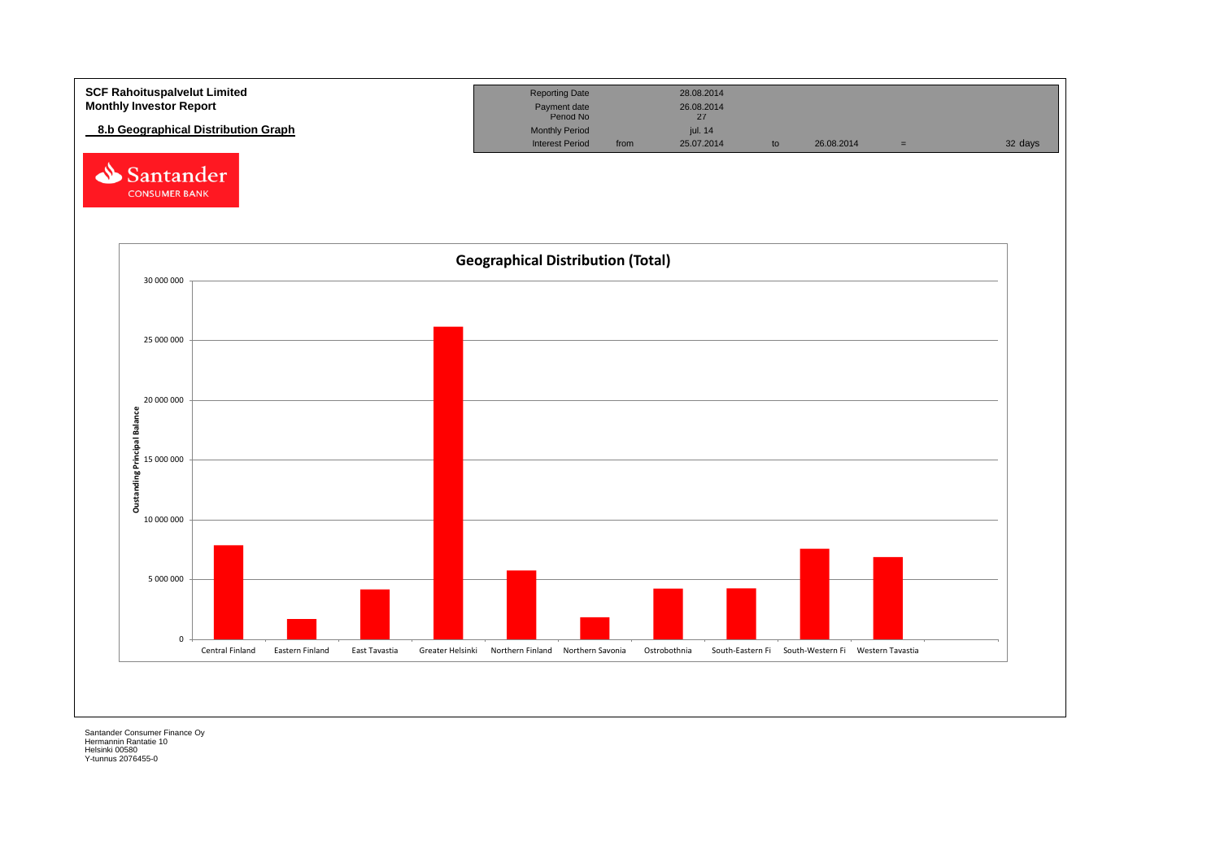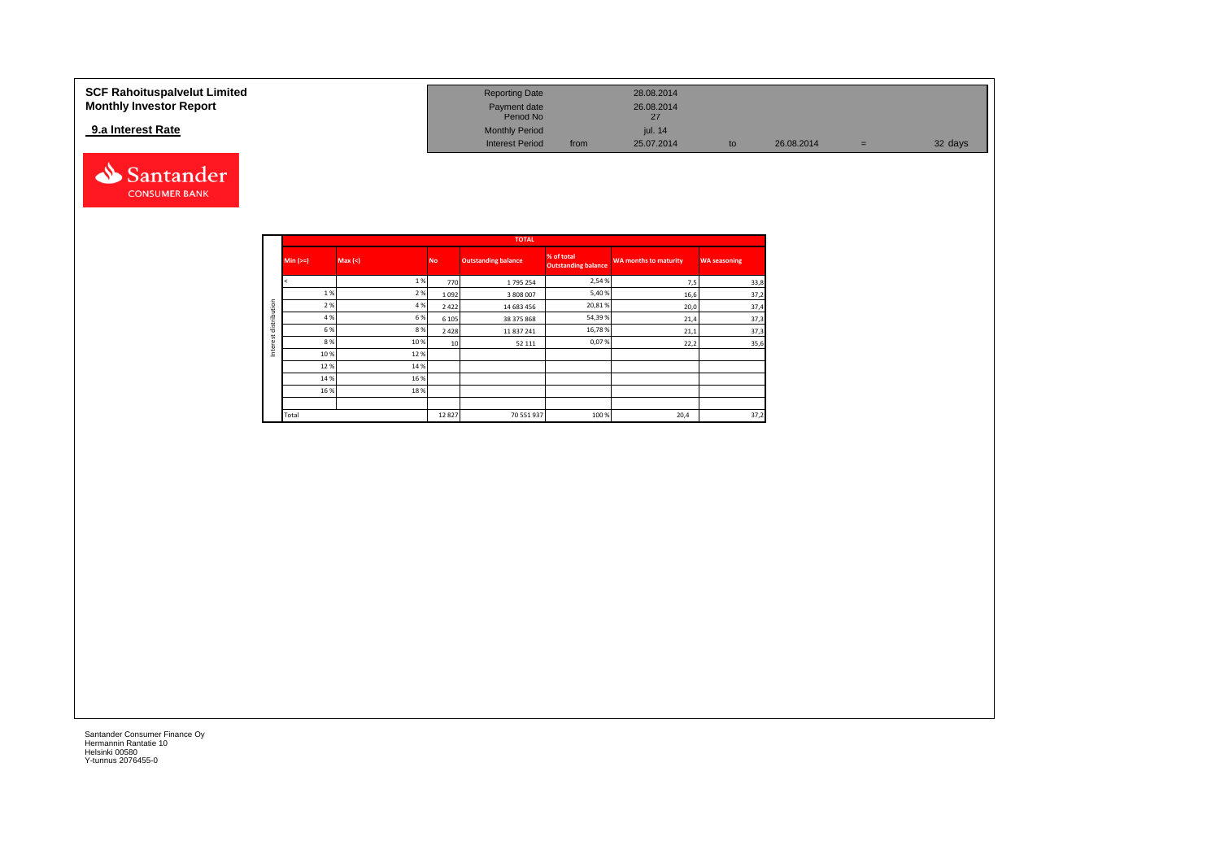| <b>SCF Rahoituspalvelut Limited</b> | <b>Reporting Date</b>     |      | 28.08.2014       |    |            |   |         |
|-------------------------------------|---------------------------|------|------------------|----|------------|---|---------|
| <b>Monthly Investor Report</b>      | Payment date<br>Period No |      | 26.08.2014<br>27 |    |            |   |         |
| 9.a Interest Rate                   | <b>Monthly Period</b>     |      | iul. 14          |    |            |   |         |
|                                     | <b>Interest Period</b>    | from | 25.07.2014       | to | 26.08.2014 | = | 32 days |



|              |            |        |           | <b>TOTAL</b>               |                                          |                              |                     |
|--------------|------------|--------|-----------|----------------------------|------------------------------------------|------------------------------|---------------------|
|              | $Min (>=)$ | Max(<) | <b>No</b> | <b>Outstanding balance</b> | % of total<br><b>Outstanding balance</b> | <b>WA months to maturity</b> | <b>WA seasoning</b> |
|              |            | 1%     | 770       | 1795 254                   | 2,54 %                                   | 7,5                          | 33,8                |
|              | 1%         | 2 %    | 1092      | 3 808 007                  | 5,40 %                                   | 16,6                         | 37,2                |
| distribution | 2 %        | 4 %    | 2 4 2 2   | 14 683 456                 | 20,81%                                   | 20,0                         | 37,4                |
|              | 4 %        | 6 %    | 6 1 0 5   | 38 375 868                 | 54,39 %                                  | 21,4                         | 37,3                |
|              | 6 %        | 8 %    | 2 4 2 8   | 11 837 241                 | 16,78%                                   | 21,1                         | 37,3                |
|              | 8%         | 10%    | 10        | 52 111                     | 0,07%                                    | 22,2                         | 35,6                |
| Interest     | 10%        | 12%    |           |                            |                                          |                              |                     |
|              | 12%        | 14 %   |           |                            |                                          |                              |                     |
|              | 14 %       | 16 %   |           |                            |                                          |                              |                     |
|              | 16 %       | 18%    |           |                            |                                          |                              |                     |
|              |            |        |           |                            |                                          |                              |                     |
|              | Total      |        | 12827     | 70 551 937                 | 100 %                                    | 20,4                         | 37,2                |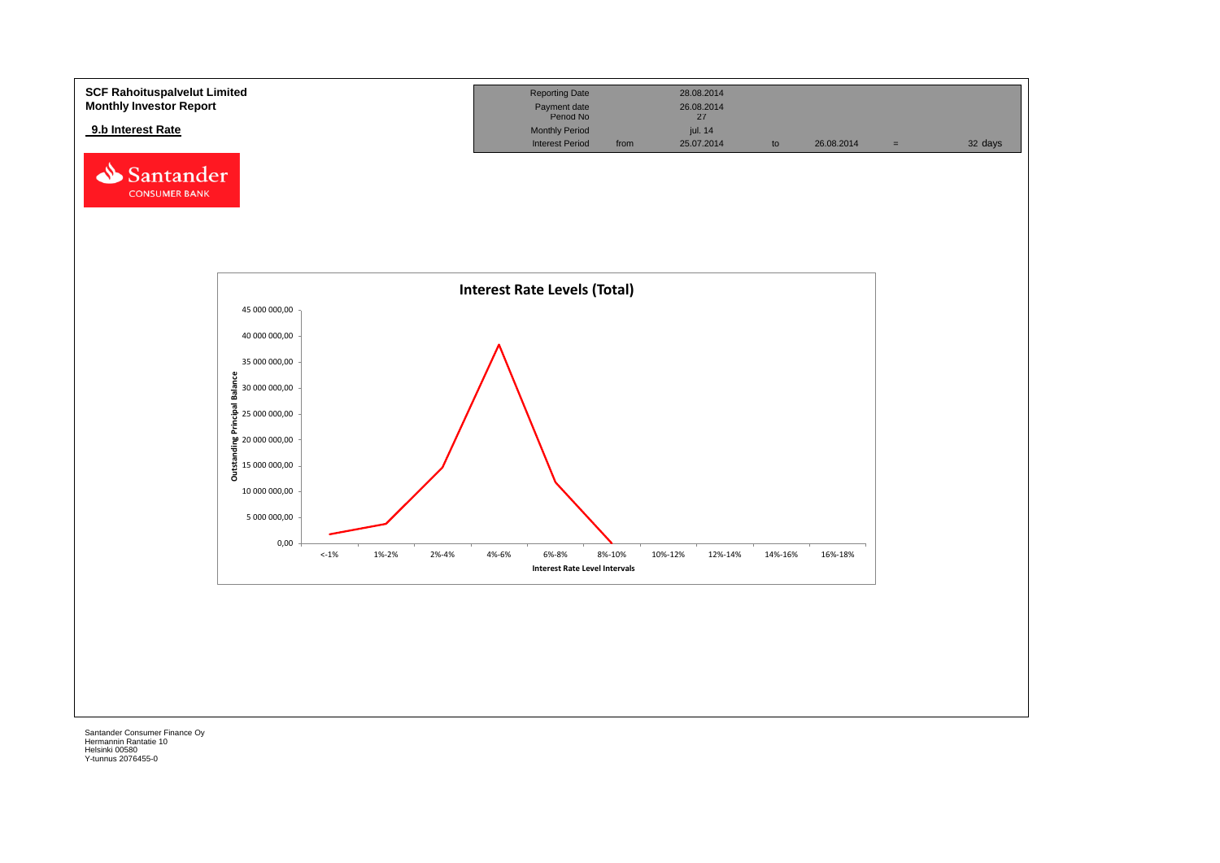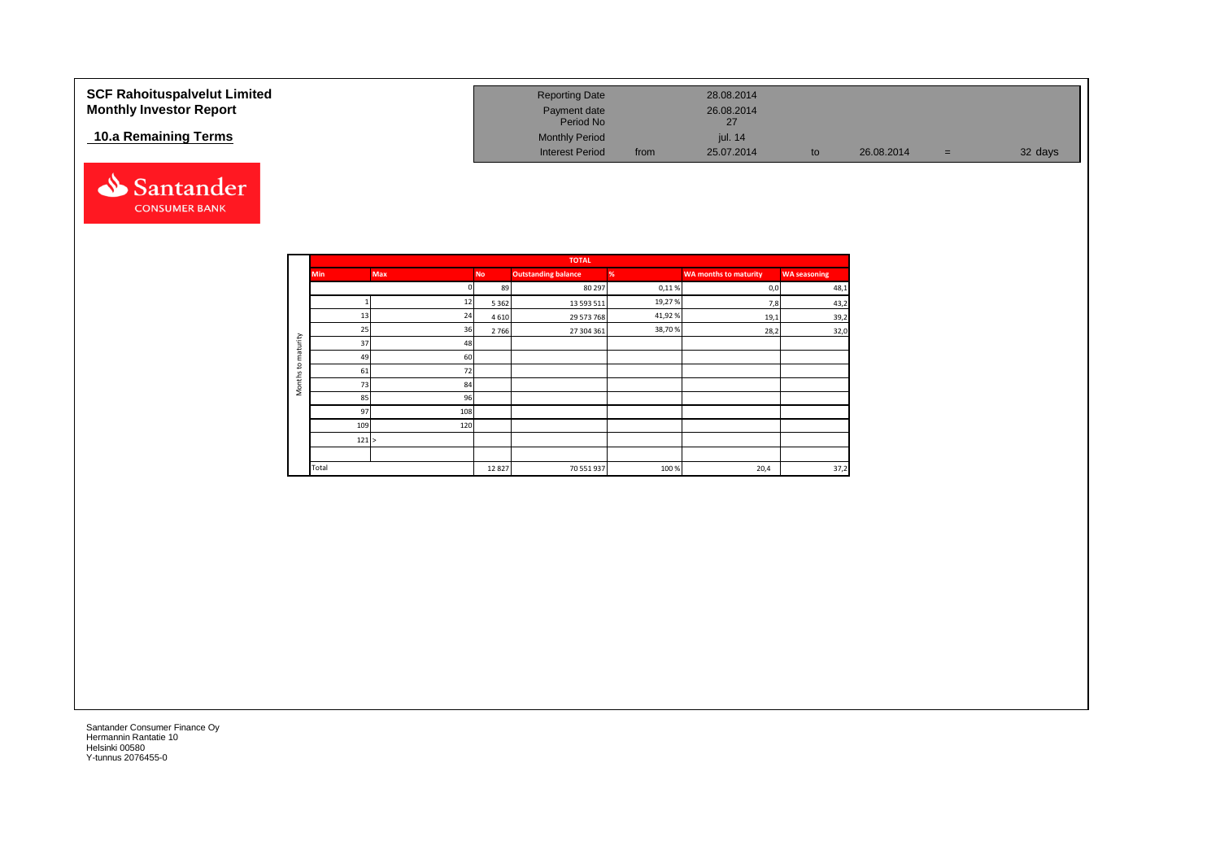| <b>SCF Rahoituspalvelut Limited</b><br><b>Monthly Investor Report</b> | <b>Reporting Date</b><br>Payment date<br>Period No |      | 28.08.2014<br>26.08.2014<br>27 |    |            |     |         |
|-----------------------------------------------------------------------|----------------------------------------------------|------|--------------------------------|----|------------|-----|---------|
| 10.a Remaining Terms                                                  | <b>Monthly Period</b><br><b>Interest Period</b>    | from | iul. 14<br>25.07.2014          | to | 26.08.2014 | $=$ | 32 days |



|                     |            |            |           | <b>TOTAL</b>               |        |                              |                     |
|---------------------|------------|------------|-----------|----------------------------|--------|------------------------------|---------------------|
|                     | <b>Min</b> | <b>Max</b> | <b>No</b> | <b>Outstanding balance</b> | %      | <b>WA months to maturity</b> | <b>WA seasoning</b> |
|                     |            |            | 89        | 80 297                     | 0,11%  | 0,0                          | 48,1                |
|                     |            | 12         | 5 3 6 2   | 13 593 511                 | 19,27% | 7,8                          | 43,2                |
|                     | 13         | 24         | 4 6 1 0   | 29 573 768                 | 41,92% | 19,1                         | 39,2                |
|                     | 25         | 36         | 2766      | 27 304 361                 | 38,70% | 28,2                         | 32,0                |
| maturity            | 37         | 48         |           |                            |        |                              |                     |
|                     | 49         | 60         |           |                            |        |                              |                     |
| $\mathbf{c}$        | 61         | 72         |           |                            |        |                              |                     |
| Months <sup>-</sup> | 73         | 84         |           |                            |        |                              |                     |
|                     | 85         | 96         |           |                            |        |                              |                     |
|                     | 97         | 108        |           |                            |        |                              |                     |
|                     | 109        | 120        |           |                            |        |                              |                     |
|                     | 121 >      |            |           |                            |        |                              |                     |
|                     |            |            |           |                            |        |                              |                     |
|                     | Total      |            | 12827     | 70 551 937                 | 100%   | 20,4                         | 37,2                |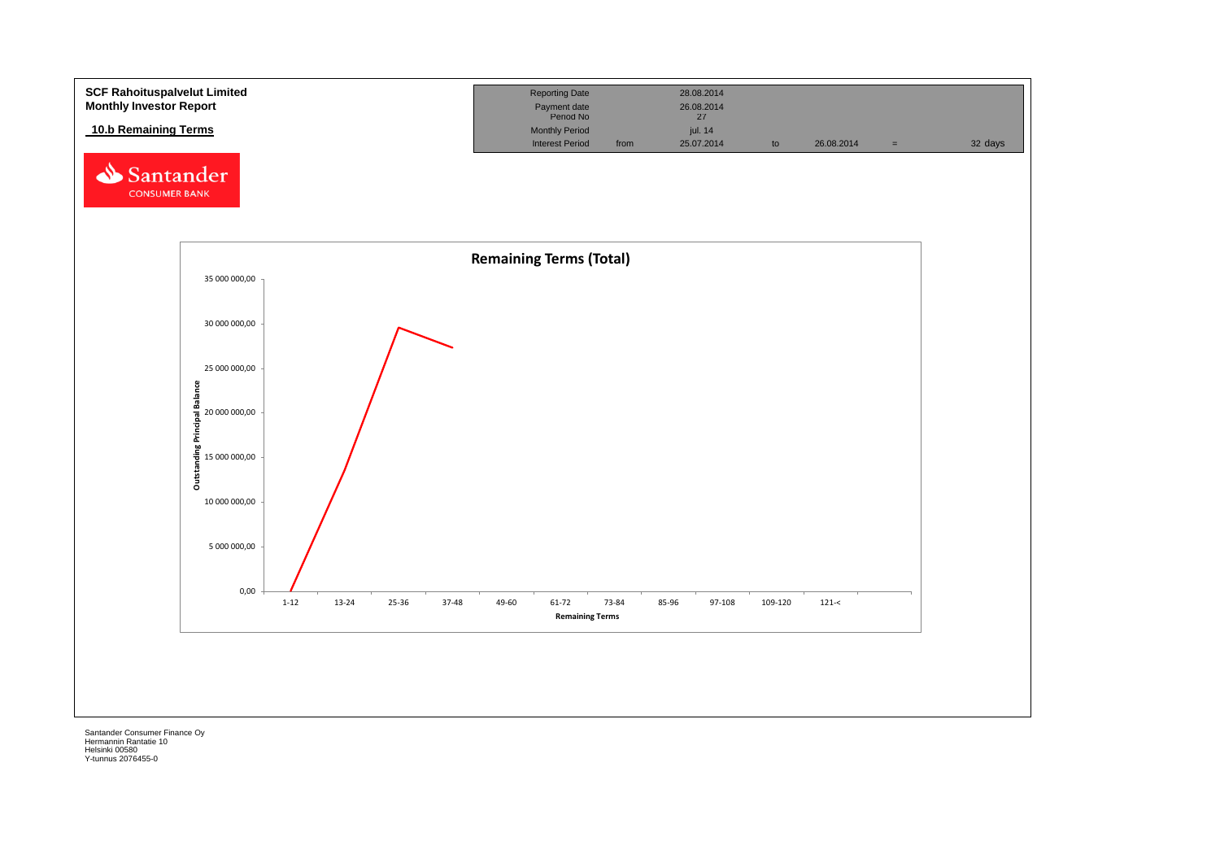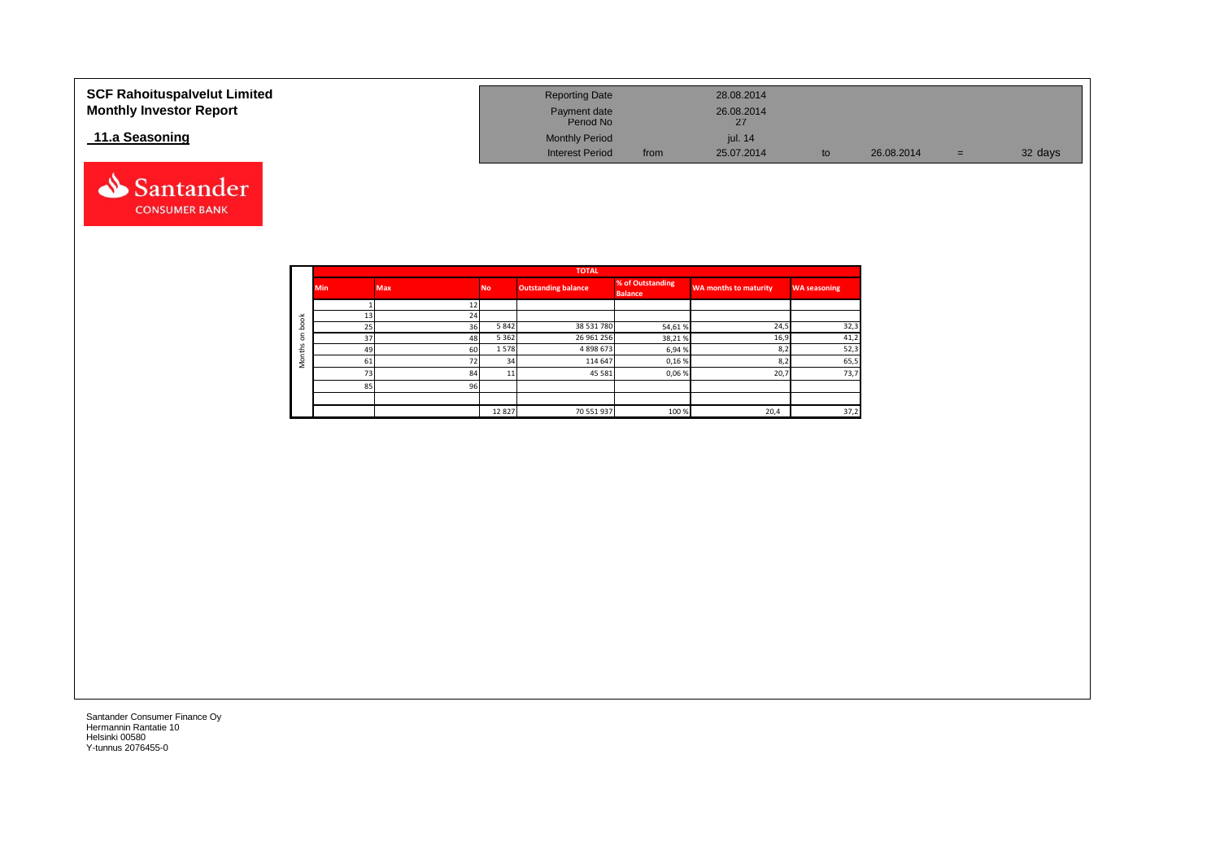| <b>SCF Rahoituspalvelut Limited</b><br><b>Monthly Investor Report</b> | <b>Reporting Date</b><br>Payment date<br>Period No |      | 28.08.2014<br>26.08.2014 |    |            |     |         |
|-----------------------------------------------------------------------|----------------------------------------------------|------|--------------------------|----|------------|-----|---------|
| 11.a Seasoning                                                        | <b>Monthly Period</b>                              |      | jul. 14                  |    |            |     |         |
|                                                                       | <b>Interest Period</b>                             | from | 25.07.2014               | to | 26.08.2014 | $=$ | 32 days |



|             |            |                 |           | <b>TOTAL</b>               |                                    |                              |                     |
|-------------|------------|-----------------|-----------|----------------------------|------------------------------------|------------------------------|---------------------|
|             | <b>Min</b> | <b>Max</b>      | <b>No</b> | <b>Outstanding balance</b> | % of Outstanding<br><b>Balance</b> | <b>WA months to maturity</b> | <b>WA seasoning</b> |
|             |            | 12 <sub>l</sub> |           |                            |                                    |                              |                     |
| 舌           |            | 24              |           |                            |                                    |                              |                     |
| ິ           | 25         | 36              | 5842      | 38 531 780                 | 54,61%                             | 24,5                         | 32,3                |
| $\circ$     | 37         | 48              | 5 3 6 2   | 26 961 256                 | 38,21%                             | 16,9                         | 41,2                |
| $\sim$<br>£ | 49         | 60              | 1578      | 4898673                    | 6,94%                              | 8,2                          | 52,3                |
| c<br>Σ      |            | 72              | 34        | 114 647                    | 0,16%                              | 8,2                          | 65,5                |
|             | 72         | 84              | 11        | 45 5 81                    | 0,06%                              | 20,7                         | 73,7                |
|             | 85         | 96              |           |                            |                                    |                              |                     |
|             |            |                 |           |                            |                                    |                              |                     |
|             |            |                 | 12827     | 70 551 937                 | 100 %                              | 20,4                         | 37,2                |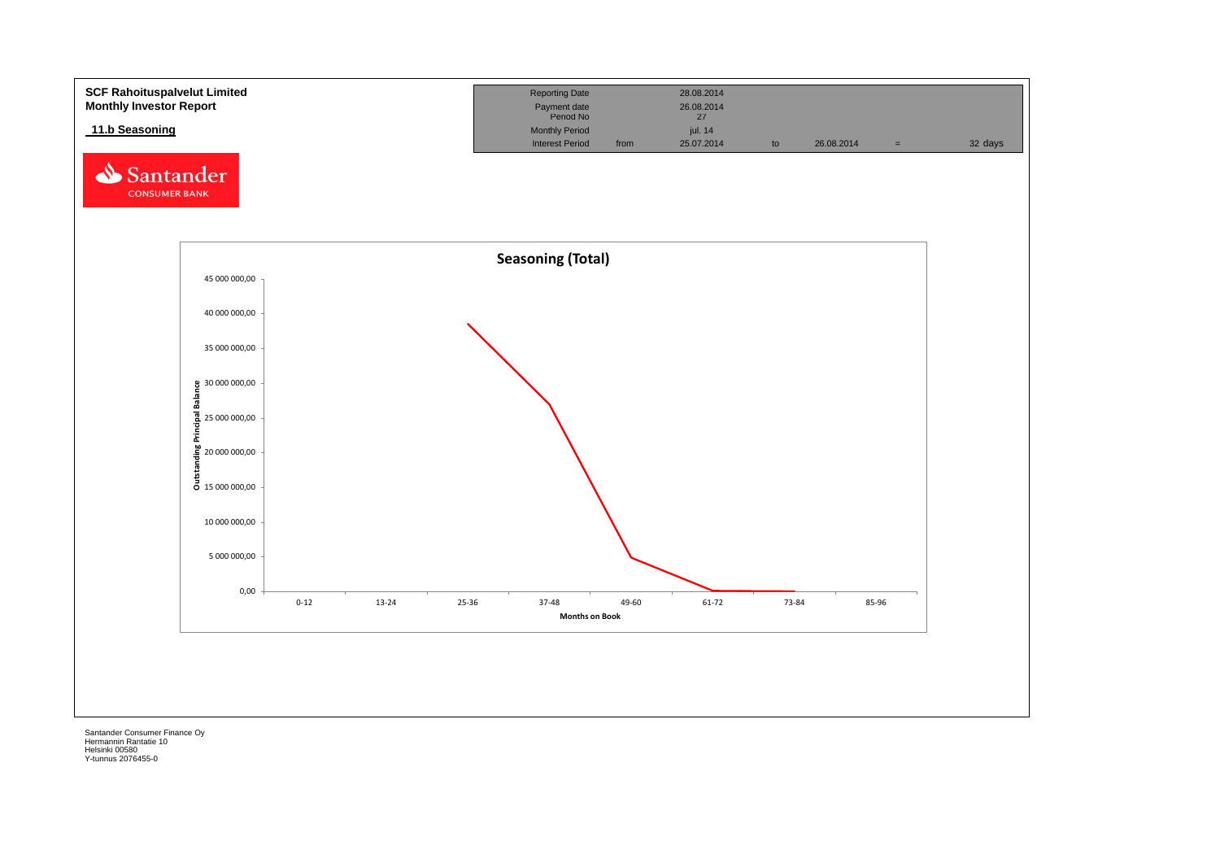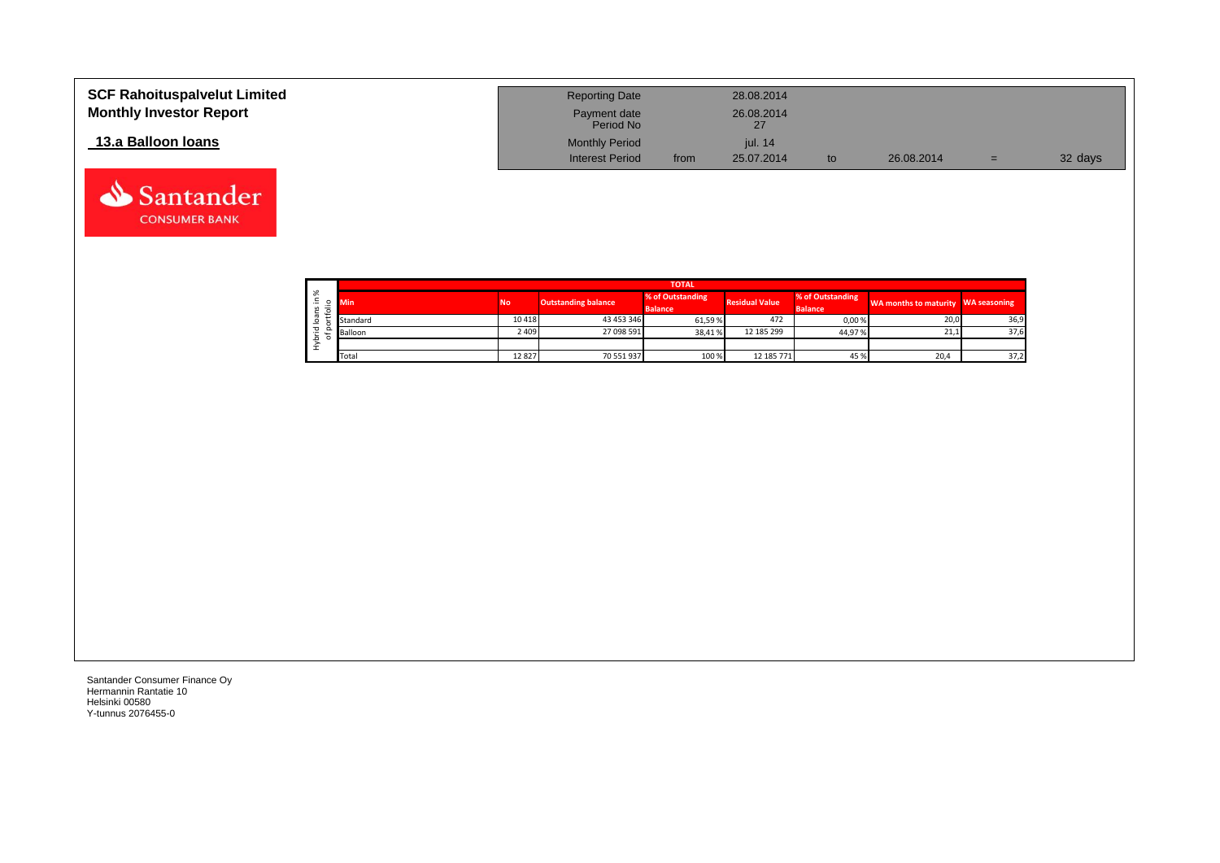| <b>SCF Rahoituspalvelut Limited</b><br><b>Monthly Investor Report</b> | <b>Reporting Date</b><br>Payment date<br>Period No |      | 28.08.2014<br>26.08.2014<br>27 |    |            |     |         |
|-----------------------------------------------------------------------|----------------------------------------------------|------|--------------------------------|----|------------|-----|---------|
| 13.a Balloon Ioans                                                    | <b>Monthly Period</b><br><b>Interest Period</b>    | from | <i>iul.</i> 14<br>25.07.2014   | to | 26.08.2014 | $=$ | 32 days |

|    |            |           |                            | <b>TOTAL</b>                       |                       |                                    |                                    |      |
|----|------------|-----------|----------------------------|------------------------------------|-----------------------|------------------------------------|------------------------------------|------|
| ৯ং | <b>Min</b> | <b>No</b> | <b>Outstanding balance</b> | % of Outstanding<br><b>Balance</b> | <b>Residual Value</b> | % of Outstanding<br><b>Balance</b> | WA months to maturity WA seasoning |      |
|    | Standard   | 10418     | 43 453 346                 | 61,59%                             | 472                   | 0,00%                              | 20,0                               | 36,9 |
|    | Balloon    | 2 409     | 27 098 591                 | 38,41%                             | 12 185 299            | 44,97%                             | 21,1                               | 37,6 |
|    |            |           |                            |                                    |                       |                                    |                                    |      |
|    | Total      | 12827     | 70 551 937                 | 100 %                              | 12 185 771            | 45%                                | 20,4                               | 37,2 |

Santander **CONSUMER BANK**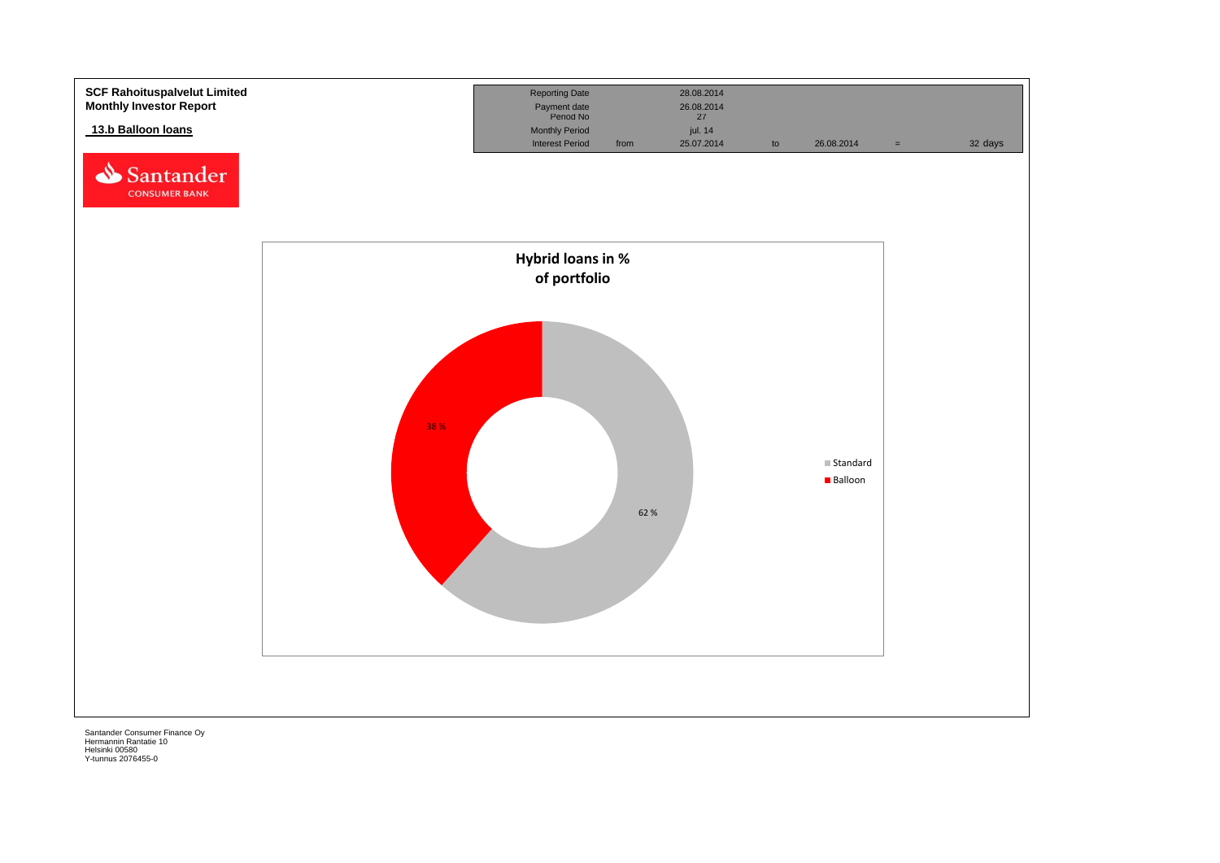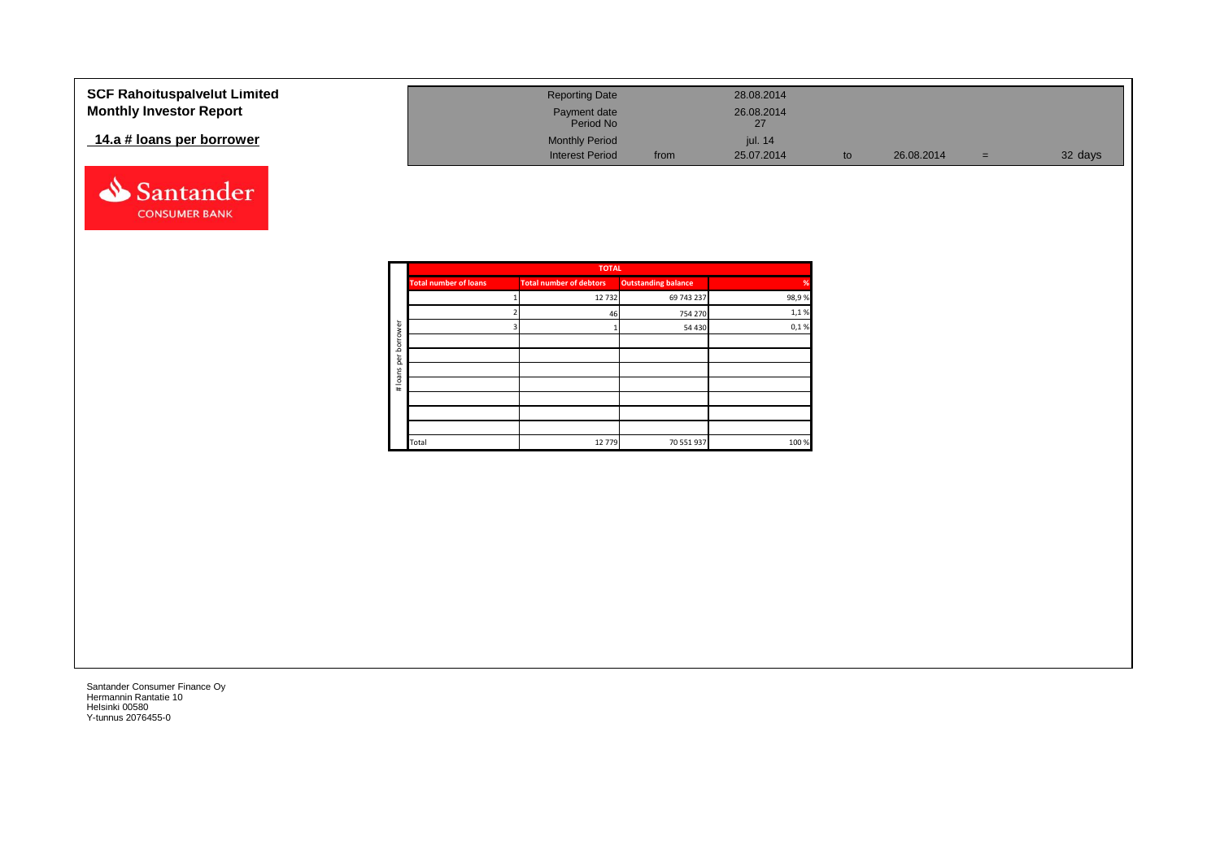| <b>SCF Rahoituspalvelut Limited</b> | <b>Reporting Date</b>     |      | 28.08.2014       |            |     |         |
|-------------------------------------|---------------------------|------|------------------|------------|-----|---------|
| <b>Monthly Investor Report</b>      | Payment date<br>Period No |      | 26.08.2014<br>27 |            |     |         |
| 14.a # loans per borrower           | <b>Monthly Period</b>     |      | jul. 14          |            |     |         |
|                                     | <b>Interest Period</b>    | from | 25.07.2014       | 26.08.2014 | $=$ | 32 days |



|             |                              | <b>TOTAL</b>                   |                            |       |
|-------------|------------------------------|--------------------------------|----------------------------|-------|
|             | <b>Total number of loans</b> | <b>Total number of debtors</b> | <b>Outstanding balance</b> | %     |
|             |                              | 12732                          | 69 743 237                 | 98,9% |
|             |                              | 46                             | 754 270                    | 1,1%  |
| ৯           |                              |                                | 54 430                     | 0,1%  |
| row<br>bori |                              |                                |                            |       |
| per         |                              |                                |                            |       |
|             |                              |                                |                            |       |
| # loans     |                              |                                |                            |       |
|             |                              |                                |                            |       |
|             |                              |                                |                            |       |
|             |                              |                                |                            |       |
|             | Total                        | 12779                          | 70 551 937                 | 100 % |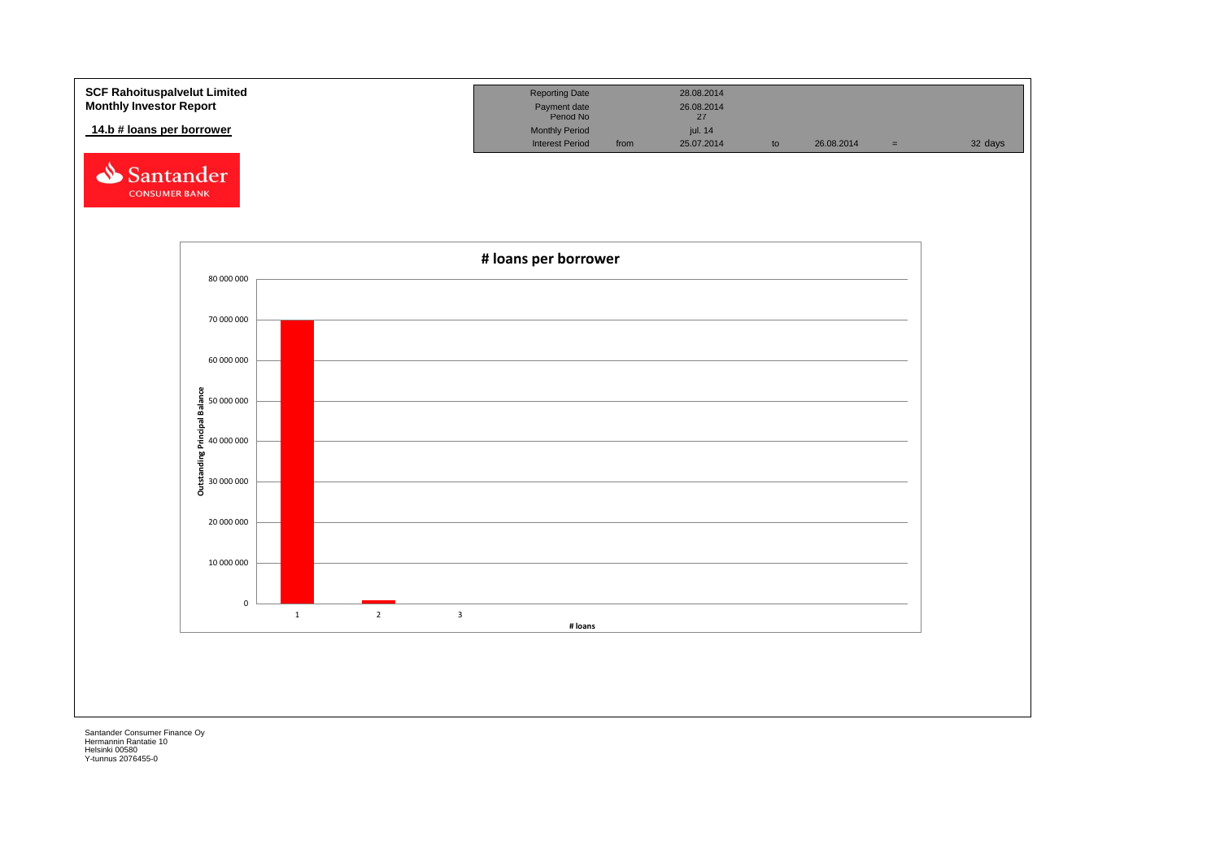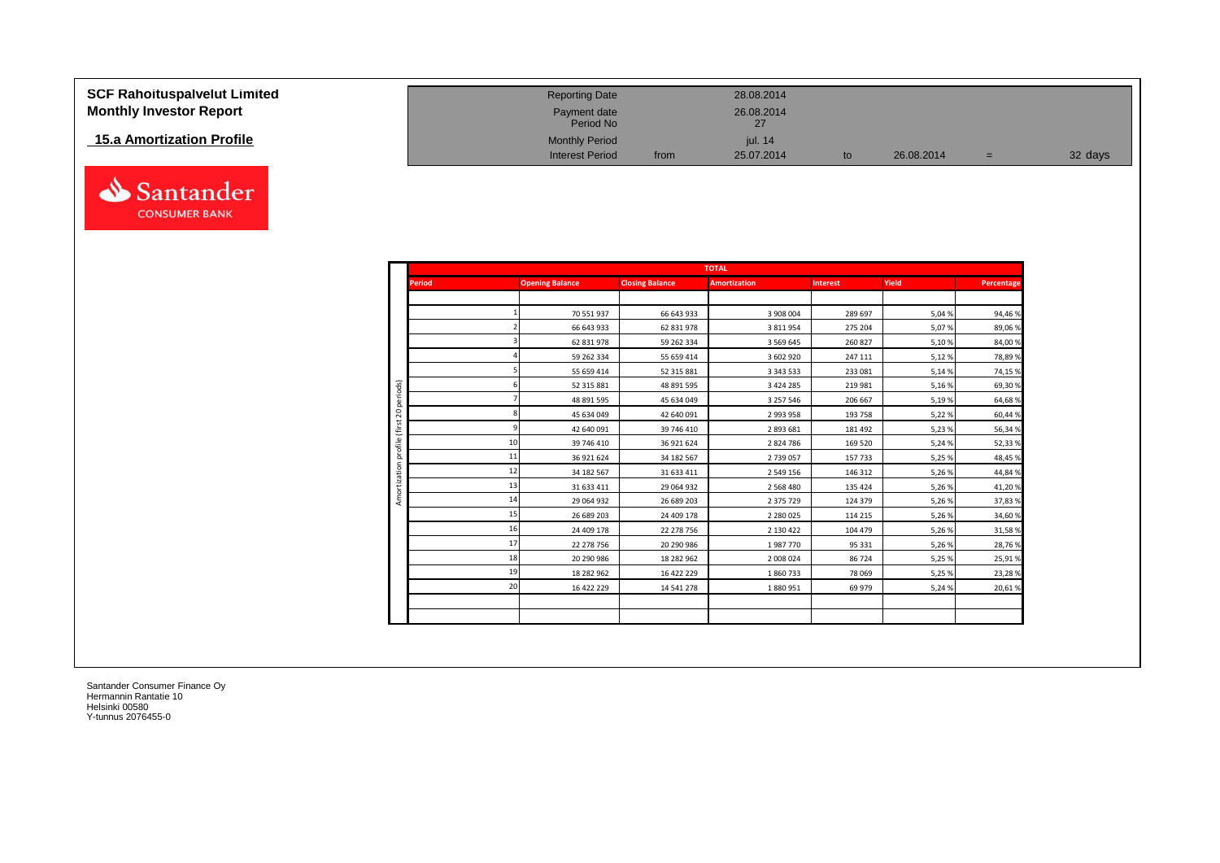| <b>SCF Rahoituspalvelut Limited</b> | <b>Reporting Date</b>     |      | 28.08.2014       |            |     |         |
|-------------------------------------|---------------------------|------|------------------|------------|-----|---------|
|                                     |                           |      |                  |            |     |         |
| <b>Monthly Investor Report</b>      | Payment date<br>Period No |      | 26.08.2014<br>27 |            |     |         |
| 15.a Amortization Profile           | <b>Monthly Period</b>     |      | jul. 14          |            |     |         |
|                                     | <b>Interest Period</b>    | from | 25.07.2014       | 26.08.2014 | $=$ | 32 days |



Santander **CONSUMER BANK**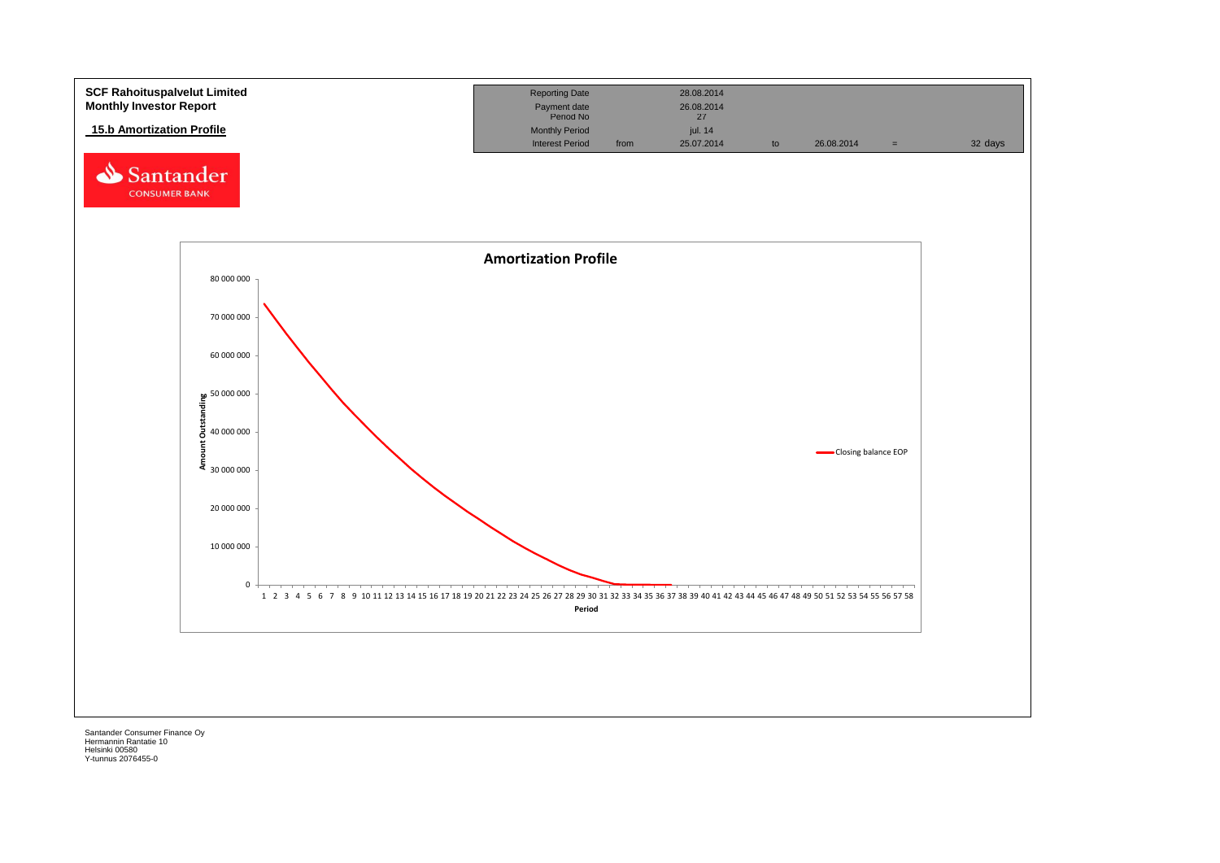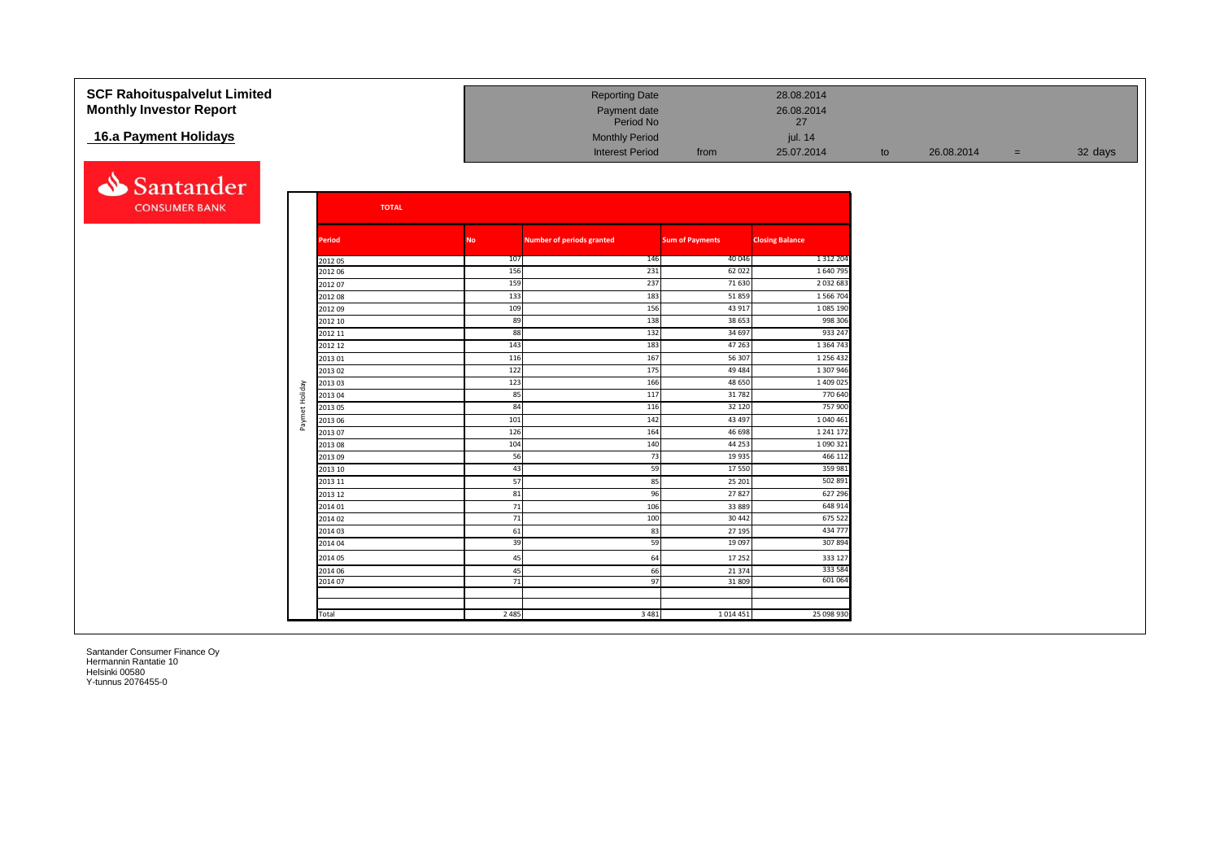| <b>SCF Rahoituspalvelut Limited</b><br><b>Monthly Investor Report</b> |                |                    |           | <b>Reporting Date</b><br>Payment date<br>Period No |                        | 28.08.2014<br>26.08.2014<br>27 |    |            |     |         |
|-----------------------------------------------------------------------|----------------|--------------------|-----------|----------------------------------------------------|------------------------|--------------------------------|----|------------|-----|---------|
| 16.a Payment Holidays                                                 |                |                    |           | <b>Monthly Period</b>                              |                        |                                |    |            |     |         |
|                                                                       |                |                    |           |                                                    |                        | jul. 14                        |    |            |     |         |
|                                                                       |                |                    |           | <b>Interest Period</b>                             | from                   | 25.07.2014                     | to | 26.08.2014 | $=$ | 32 days |
| Santander                                                             |                |                    |           |                                                    |                        |                                |    |            |     |         |
| <b>CONSUMER BANK</b>                                                  |                | <b>TOTAL</b>       |           |                                                    |                        |                                |    |            |     |         |
|                                                                       |                | <b>Period</b>      | <b>No</b> | <b>Number of periods granted</b>                   | <b>Sum of Payments</b> | <b>Closing Balance</b>         |    |            |     |         |
|                                                                       |                | 201205             | 107       | 146                                                | 40 046                 | 1 3 1 2 2 0 4                  |    |            |     |         |
|                                                                       |                | 2012 06            | 156       | 231                                                | 62 0 22                | 1640795                        |    |            |     |         |
|                                                                       |                | 201207             | 159       | 237                                                | 71 630                 | 2 0 3 2 6 8                    |    |            |     |         |
|                                                                       |                | 201208             | 133       | 183                                                | 51859                  | 1 566 704                      |    |            |     |         |
|                                                                       |                | 201209             | 109       | 156                                                | 43 917                 | 1085 190                       |    |            |     |         |
|                                                                       |                | 2012 10            | 89<br>88  | 138<br>132                                         | 38 653<br>34 697       | 998 306<br>933 247             |    |            |     |         |
|                                                                       |                | 2012 11<br>2012 12 | 143       | 183                                                | 47 263                 | 1 3 6 4 7 4 3                  |    |            |     |         |
|                                                                       |                | 201301             | 116       | 167                                                | 56 307                 | 1 2 5 6 4 3 2                  |    |            |     |         |
|                                                                       |                | 201302             | 122       | 175                                                | 49 4 84                | 1 307 946                      |    |            |     |         |
|                                                                       |                | 201303             | 123       | 166                                                | 48 650                 | 1 409 025                      |    |            |     |         |
|                                                                       | Paymet Holiday | 201304             | 85        | 117                                                | 31782                  | 770 640                        |    |            |     |         |
|                                                                       |                | 201305             | 84        | 116                                                | 32 120                 | 757 900                        |    |            |     |         |
|                                                                       |                | 2013 06            | 101       | 142                                                | 43 497                 | 1 040 461                      |    |            |     |         |
|                                                                       |                | 201307             | 126       | 164                                                | 46 698                 | 1 2 4 1 1 7                    |    |            |     |         |
|                                                                       |                | 201308             | 104       | 140                                                | 44 253                 | 1 090 32:                      |    |            |     |         |
|                                                                       |                | 201309             | 56        | 73                                                 | 19 9 35                | 466 112                        |    |            |     |         |
|                                                                       |                | 2013 10            | 43        | 59                                                 | 17550                  | 359 981                        |    |            |     |         |
|                                                                       |                | 2013 11            | 57        | 85                                                 | 25 201                 | 502 891                        |    |            |     |         |
|                                                                       |                | 2013 12            | 81        | 96                                                 | 27827                  | 627 296                        |    |            |     |         |
|                                                                       |                | 2014 01            | 71        | 106                                                | 33889                  | 648 914                        |    |            |     |         |
|                                                                       |                | 201402             | 71        | 100                                                | 30 442                 | 675 522                        |    |            |     |         |
|                                                                       |                | 2014 03            | 61        | 83                                                 | 27 195                 | 434 777<br>307894              |    |            |     |         |
|                                                                       |                | 2014 04            | 39        | 59                                                 | 19 097                 |                                |    |            |     |         |
|                                                                       |                | 2014 05            | 45        | 64                                                 | 17 25 2                | 333 127                        |    |            |     |         |
|                                                                       |                | 2014 06            | 45        | 66                                                 | 21 3 7 4               | 333 584<br>601 064             |    |            |     |         |
|                                                                       |                | 2014 07            | 71        | 97                                                 | 31809                  |                                |    |            |     |         |
|                                                                       |                |                    |           |                                                    |                        |                                |    |            |     |         |
|                                                                       |                | Total              | 2 4 8 5   | 3 4 8 1                                            | 1014451                | 25 098 930                     |    |            |     |         |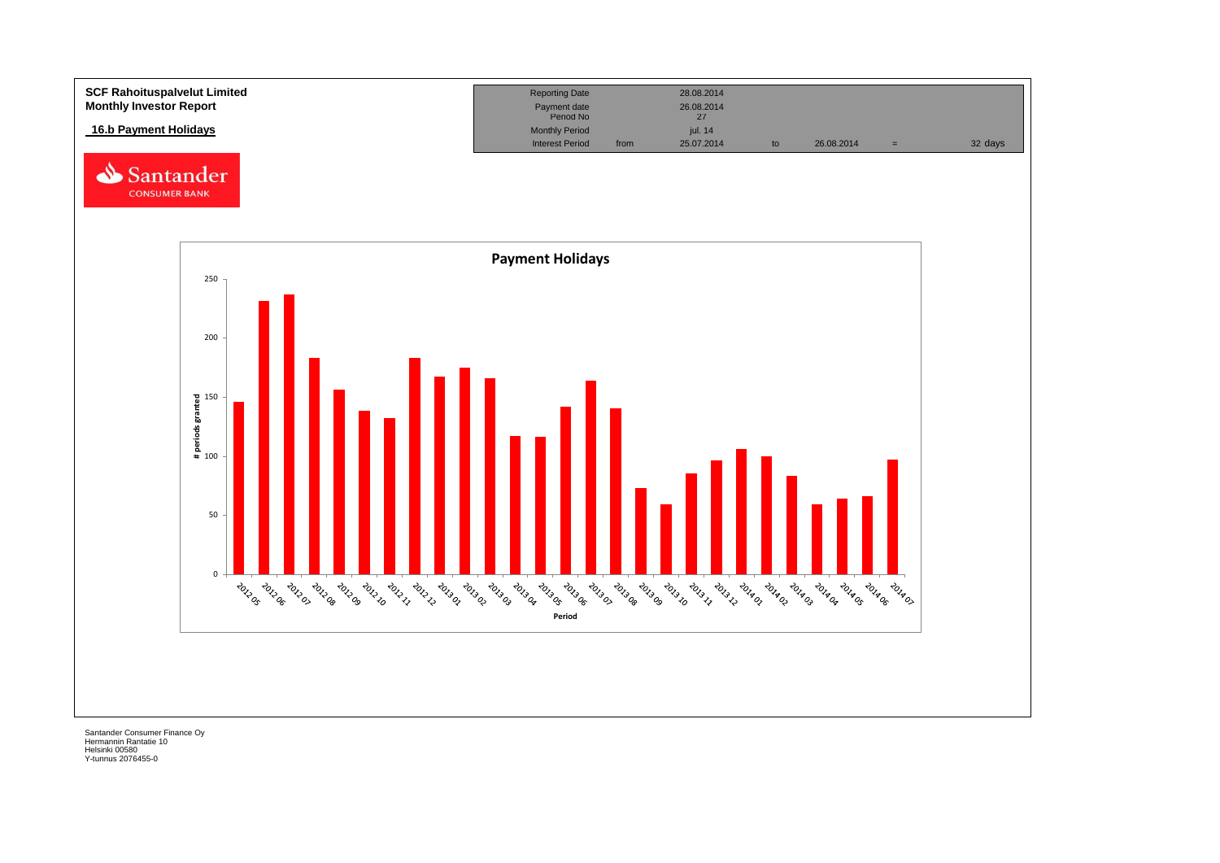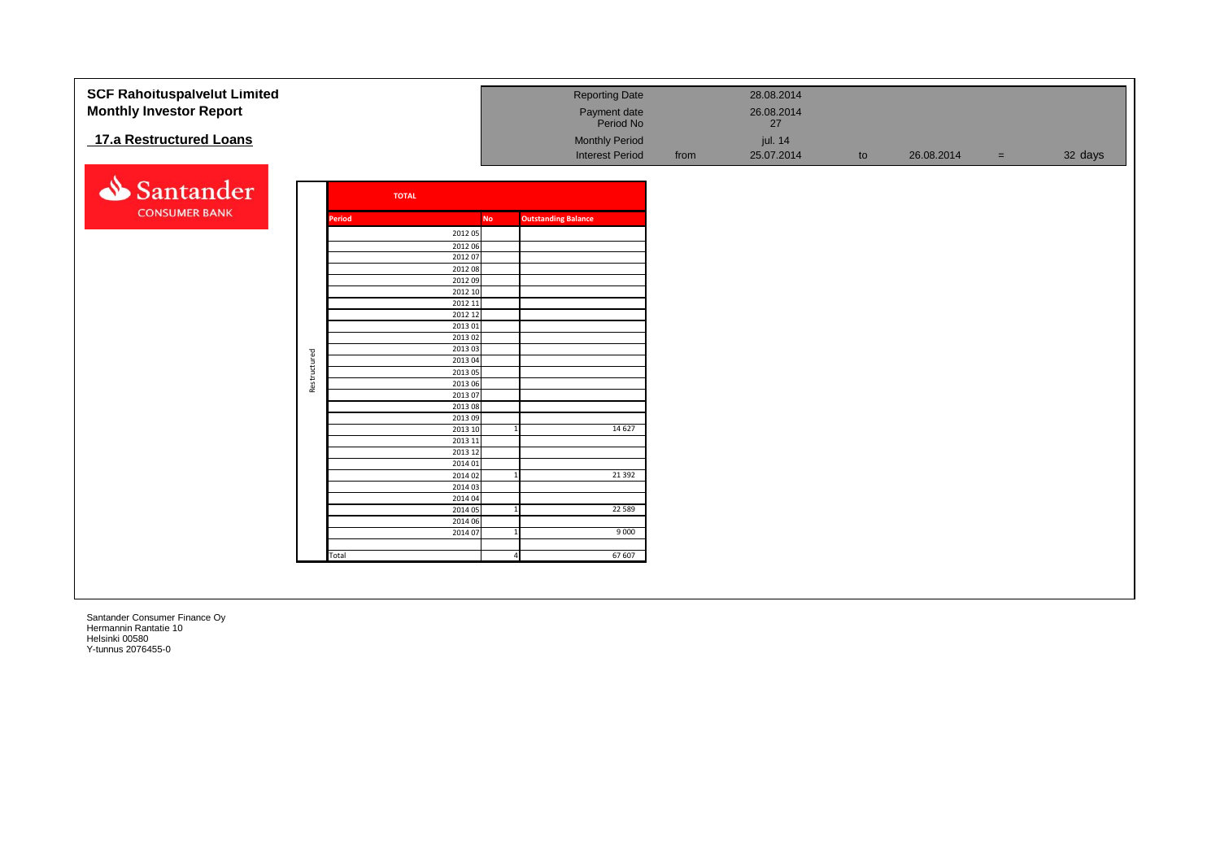| <b>SCF Rahoituspalvelut Limited</b> |              |               |              |                    |                |                            | <b>Reporting Date</b>  |      | 28.08.2014 |    |            |     |         |
|-------------------------------------|--------------|---------------|--------------|--------------------|----------------|----------------------------|------------------------|------|------------|----|------------|-----|---------|
| <b>Monthly Investor Report</b>      |              |               |              |                    |                |                            | Payment date           |      | 26.08.2014 |    |            |     |         |
|                                     |              |               |              |                    |                |                            | Period No              |      | 27         |    |            |     |         |
| 17.a Restructured Loans             |              |               |              |                    |                |                            | <b>Monthly Period</b>  |      | jul. 14    |    |            |     |         |
|                                     |              |               |              |                    |                |                            | <b>Interest Period</b> | from | 25.07.2014 | to | 26.08.2014 | $=$ | 32 days |
|                                     |              |               |              |                    |                |                            |                        |      |            |    |            |     |         |
|                                     |              |               |              |                    |                |                            |                        |      |            |    |            |     |         |
| Santander                           |              |               | <b>TOTAL</b> |                    |                |                            |                        |      |            |    |            |     |         |
| <b>CONSUMER BANK</b>                |              |               |              |                    |                |                            |                        |      |            |    |            |     |         |
|                                     |              | <b>Period</b> |              |                    | <b>No</b>      | <b>Outstanding Balance</b> |                        |      |            |    |            |     |         |
|                                     |              |               |              | 2012 05            |                |                            |                        |      |            |    |            |     |         |
|                                     |              |               |              | 2012 06            |                |                            |                        |      |            |    |            |     |         |
|                                     |              |               |              | 2012 07            |                |                            |                        |      |            |    |            |     |         |
|                                     |              |               |              | 2012 08            |                |                            |                        |      |            |    |            |     |         |
|                                     |              |               |              | 2012 09<br>2012 10 |                |                            |                        |      |            |    |            |     |         |
|                                     |              |               |              | 2012 11            |                |                            |                        |      |            |    |            |     |         |
|                                     |              |               |              | 2012 12            |                |                            |                        |      |            |    |            |     |         |
|                                     |              |               |              | 2013 01            |                |                            |                        |      |            |    |            |     |         |
|                                     |              |               |              | 2013 02            |                |                            |                        |      |            |    |            |     |         |
|                                     |              |               |              | 2013 03            |                |                            |                        |      |            |    |            |     |         |
|                                     |              |               |              | 2013 04            |                |                            |                        |      |            |    |            |     |         |
|                                     | Restructured |               |              | 2013 05            |                |                            |                        |      |            |    |            |     |         |
|                                     |              |               |              | 2013 06            |                |                            |                        |      |            |    |            |     |         |
|                                     |              |               |              | 201307             |                |                            |                        |      |            |    |            |     |         |
|                                     |              |               |              | 2013 08            |                |                            |                        |      |            |    |            |     |         |
|                                     |              |               |              | 201309<br>2013 10  |                |                            | 14 6 27                |      |            |    |            |     |         |
|                                     |              |               |              | 2013 11            |                |                            |                        |      |            |    |            |     |         |
|                                     |              |               |              | 2013 12            |                |                            |                        |      |            |    |            |     |         |
|                                     |              |               |              | 2014 01            |                |                            |                        |      |            |    |            |     |         |
|                                     |              |               |              | 2014 02            |                |                            | 21 3 92                |      |            |    |            |     |         |
|                                     |              |               |              | 2014 03            |                |                            |                        |      |            |    |            |     |         |
|                                     |              |               |              | 2014 04            |                |                            |                        |      |            |    |            |     |         |
|                                     |              |               |              | 2014 05            |                |                            | 22 5 8 9               |      |            |    |            |     |         |
|                                     |              |               |              | 2014 06            |                |                            |                        |      |            |    |            |     |         |
|                                     |              |               |              | 2014 07            | $\overline{1}$ |                            | 9000                   |      |            |    |            |     |         |
|                                     |              | Total         |              |                    |                |                            | 67 607                 |      |            |    |            |     |         |
|                                     |              |               |              |                    |                |                            |                        |      |            |    |            |     |         |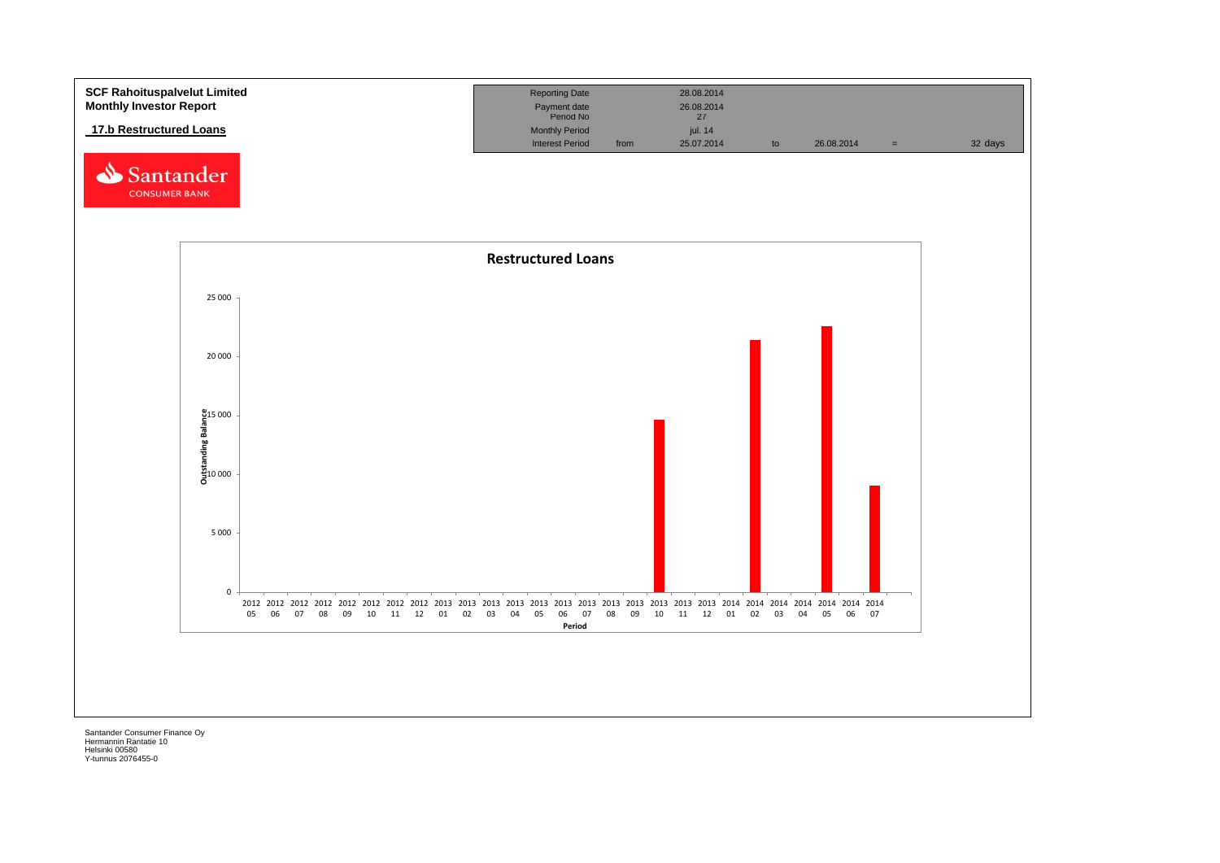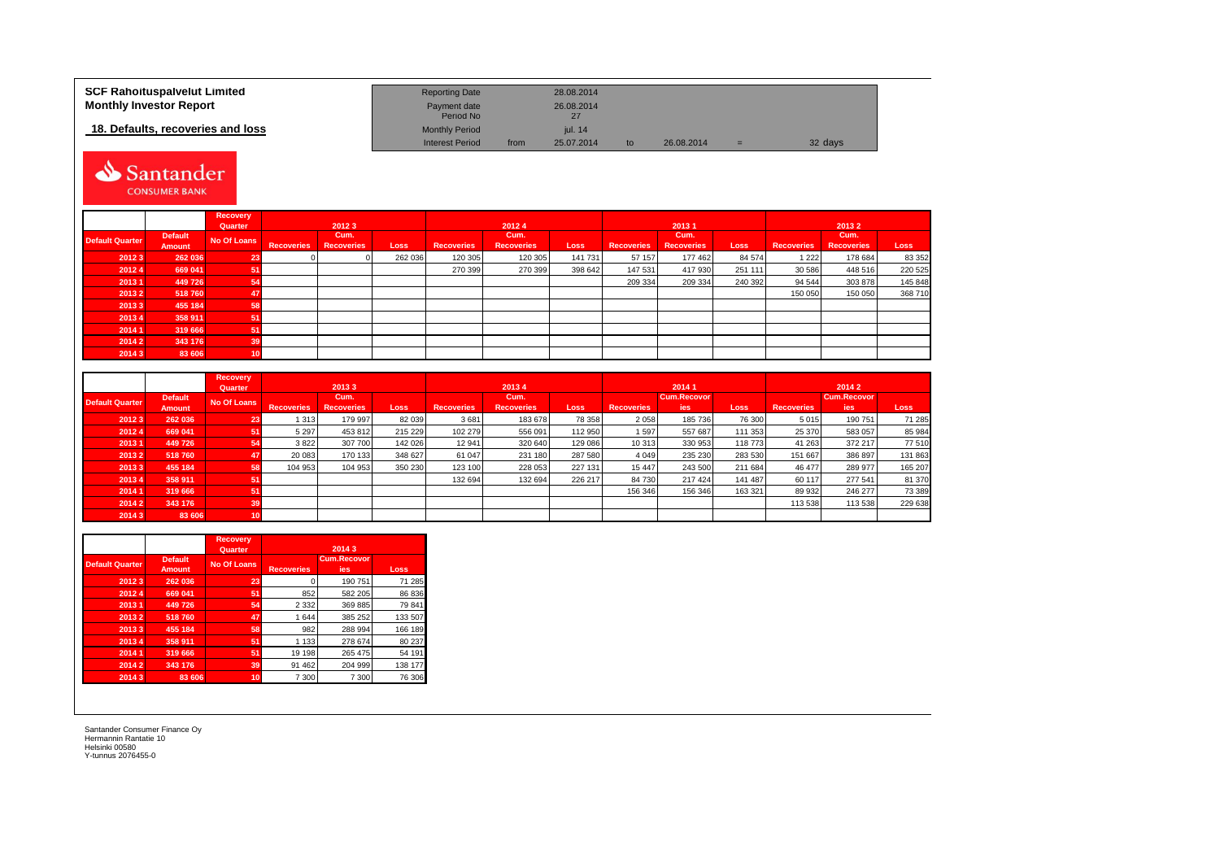| SCF Rahoituspalvelut Limited      | <b>Reporting Date</b>     |      | 28.08.2014 |    |            |     |         |
|-----------------------------------|---------------------------|------|------------|----|------------|-----|---------|
| <b>Monthly Investor Report</b>    | Payment date<br>Period No |      | 26.08.2014 |    |            |     |         |
| 18. Defaults, recoveries and loss | <b>Monthly Period</b>     |      | iul. 14    |    |            |     |         |
|                                   | <b>Interest Period</b>    | from | 25.07.2014 | to | 26.08.2014 | $=$ | 32 days |

# Santander CONSUMER BANK

|                        |                          | <b>Recovery</b><br>Quarter |                   | 20123                     |         | 20124             |                           |             |                   | 20131                     |             | 20132             |                           |         |  |
|------------------------|--------------------------|----------------------------|-------------------|---------------------------|---------|-------------------|---------------------------|-------------|-------------------|---------------------------|-------------|-------------------|---------------------------|---------|--|
| <b>Default Quarter</b> | <b>Default</b><br>Amount | No Of Loans                | <b>Recoveries</b> | Cum.<br><b>Recoveries</b> | Loss    | <b>Recoveries</b> | Cum.<br><b>Recoveries</b> | <b>Loss</b> | <b>Recoveries</b> | Cum.<br><b>Recoveries</b> | <b>Loss</b> | <b>Recoveries</b> | Cum.<br><b>Recoveries</b> | Loss    |  |
| 20123                  | 262 036                  | 23                         |                   |                           | 262 036 | 120 305           | 120 305                   | 141 731     | 57 157            | 177 462                   | 84 574      | 1 2 2 2           | 178 684                   | 83 352  |  |
| 20124                  | 669 041                  | 51                         |                   |                           |         | 270 399           | 270 399                   | 398 642     | 147 531           | 417 930                   | 251 111     | 30 586            | 448 516                   | 220 525 |  |
| 20131                  | 449726                   | 54                         |                   |                           |         |                   |                           |             | 209 334           | 209 334                   | 240 392     | 94 544            | 303 878                   | 145 848 |  |
| 20132                  | 518760                   | 47                         |                   |                           |         |                   |                           |             |                   |                           |             | 150 050           | 150 050                   | 368 710 |  |
| 20133                  | 455 184                  | 58                         |                   |                           |         |                   |                           |             |                   |                           |             |                   |                           |         |  |
| 20134                  | 358 911                  | 51                         |                   |                           |         |                   |                           |             |                   |                           |             |                   |                           |         |  |
| 2014 1                 | 319 666                  | 51                         |                   |                           |         |                   |                           |             |                   |                           |             |                   |                           |         |  |
| 2014 2                 | 343 176                  | 39                         |                   |                           |         |                   |                           |             |                   |                           |             |                   |                           |         |  |
| 20143                  | 83 606                   | 10                         |                   |                           |         |                   |                           |             |                   |                           |             |                   |                           |         |  |

|                        |                | <b>Recovery</b> |                   | 20133             |             |                   | 20134             |             |                   | 20141              |         |                    | 2014 2  |         |
|------------------------|----------------|-----------------|-------------------|-------------------|-------------|-------------------|-------------------|-------------|-------------------|--------------------|---------|--------------------|---------|---------|
|                        | <b>Default</b> | Quarter         |                   | Cum.              |             |                   | Cum.              |             |                   | <b>Cum.Recovor</b> |         | <b>Cum.Recovor</b> |         |         |
| <b>Default Quarter</b> | Amount         | No Of Loans     | <b>Recoveries</b> | <b>Recoveries</b> | <b>Loss</b> | <b>Recoveries</b> | <b>Recoveries</b> | <b>Loss</b> | <b>Recoveries</b> | lies <sup>'</sup>  | Loss    | <b>Recoveries</b>  | ies     | Loss    |
| 20123                  | 262 036        | 23              | 1 3 1 3           | 179 997           | 82 039      | 3681              | 183 678           | 78 358      | 2 0 5 8           | 185 736            | 76 300  | 5015               | 190 751 | 71 285  |
| 20124                  | 669 041        | 51              | 5 2 9 7           | 453812            | 215 229     | 102 279           | 556 091           | 112 950     | 1597              | 557 687            | 111 353 | 25 370             | 583 057 | 85 984  |
| 20131                  | 449 726        | 54              | 3822              | 307 700           | 142 026     | 12 941            | 320 640           | 129 086     | 10 313            | 330 953            | 118 773 | 41 263             | 372 217 | 77510   |
| 20132                  | 518760         | 47              | 20 083            | 170 133           | 348 627     | 61 047            | 231 180           | 287 580     | 4 0 4 9           | 235 230            | 283 530 | 151 667            | 386 897 | 131 863 |
| 20133                  | 455 184        | 58              | 104 953           | 104 953           | 350 230     | 123 100           | 228 053           | 227 131     | 15 4 4 7          | 243 500            | 211 684 | 46 477             | 289 977 | 165 207 |
| 20134                  | 358 911        | 51              |                   |                   |             | 132 694           | 132 694           | 226 217     | 84 730            | 217 424            | 141 487 | 60 117             | 277 541 | 81 370  |
| 20141                  | 319 666        | -51             |                   |                   |             |                   |                   |             | 156 346           | 156 346            | 163 321 | 89 932             | 246 277 | 73 389  |
| 20142                  | 343 176        | 39'             |                   |                   |             |                   |                   |             |                   |                    |         | 113 538            | 113 538 | 229 638 |
| 20143                  | 83 606         | 40              |                   |                   |             |                   |                   |             |                   |                    |         |                    |         |         |

|                        |                                 | <b>Recovery</b><br>Quarter |                   | 2014 3                    |         |
|------------------------|---------------------------------|----------------------------|-------------------|---------------------------|---------|
| <b>Default Quarter</b> | <b>Default</b><br><b>Amount</b> | No Of Loans                | <b>Recoveries</b> | <b>Cum.Recovor</b><br>ies | Loss    |
| 20123                  | 262 036                         | 23                         | 0                 | 190 751                   | 71 285  |
| 20124                  | 669 041                         | 51                         | 852               | 582 205                   | 86 836  |
| 20131                  | 449 726                         | 54                         | 2 3 3 2           | 369 885                   | 79 841  |
| 20132                  | 518760                          | 47                         | 1 644             | 385 252                   | 133 507 |
| 20133                  | 455 184                         | 58                         | 982               | 288 994                   | 166 189 |
| 20134                  | 358 911                         | 51                         | 1 1 3 3           | 278 674                   | 80 237  |
| 20141                  | 319 666                         | 51                         | 19 198            | 265 475                   | 54 191  |
| 20142                  | 343 176                         | 39                         | 91 462            | 204 999                   | 138 177 |
| 20143                  | 83 606                          | 10                         | 7 300             | 7 300                     | 76 306  |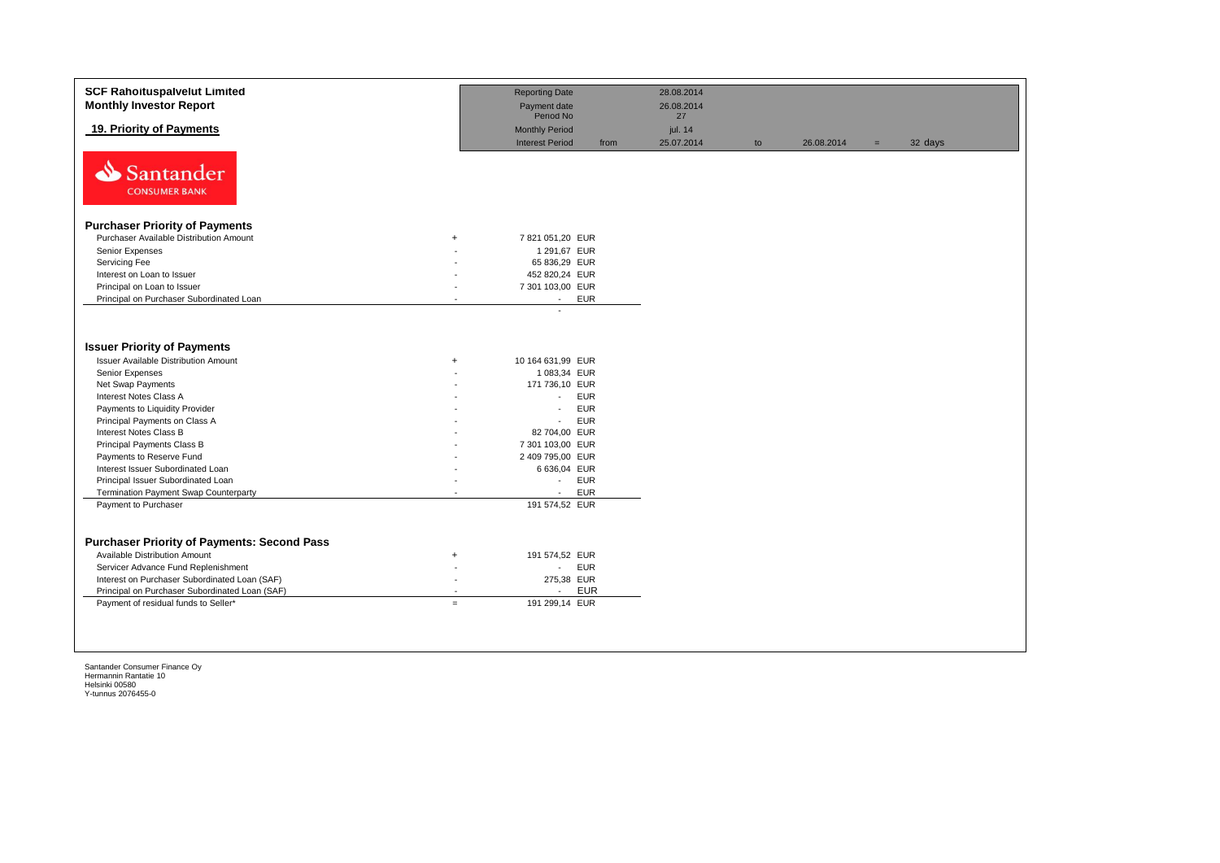| <b>SCF Rahoituspalvelut Limited</b><br><b>Monthly Investor Report</b>                                                                                                                                                                                                 | <b>Reporting Date</b><br>Payment date<br>Period No                                                                                                                  | 28.08.2014<br>26.08.2014<br>27 |    |            |     |         |
|-----------------------------------------------------------------------------------------------------------------------------------------------------------------------------------------------------------------------------------------------------------------------|---------------------------------------------------------------------------------------------------------------------------------------------------------------------|--------------------------------|----|------------|-----|---------|
| 19. Priority of Payments                                                                                                                                                                                                                                              | <b>Monthly Period</b><br><b>Interest Period</b>                                                                                                                     | jul. 14<br>25.07.2014<br>from  | to | 26.08.2014 | $=$ | 32 days |
| Santander<br><b>CONSUMER BANK</b>                                                                                                                                                                                                                                     |                                                                                                                                                                     |                                |    |            |     |         |
| <b>Purchaser Priority of Payments</b>                                                                                                                                                                                                                                 |                                                                                                                                                                     |                                |    |            |     |         |
| Purchaser Available Distribution Amount                                                                                                                                                                                                                               | 7 821 051,20 EUR<br>$+$                                                                                                                                             |                                |    |            |     |         |
| Senior Expenses                                                                                                                                                                                                                                                       | 1 291,67 EUR                                                                                                                                                        |                                |    |            |     |         |
| Servicing Fee                                                                                                                                                                                                                                                         | 65 836,29 EUR                                                                                                                                                       |                                |    |            |     |         |
| Interest on Loan to Issuer                                                                                                                                                                                                                                            | 452 820,24 EUR                                                                                                                                                      |                                |    |            |     |         |
| Principal on Loan to Issuer                                                                                                                                                                                                                                           | 7 301 103,00 EUR                                                                                                                                                    |                                |    |            |     |         |
| Principal on Purchaser Subordinated Loan                                                                                                                                                                                                                              | <b>EUR</b><br>$\sim$<br>$\overline{a}$                                                                                                                              |                                |    |            |     |         |
| <b>Issuer Priority of Payments</b><br><b>Issuer Available Distribution Amount</b><br>Senior Expenses<br>Net Swap Payments<br>Interest Notes Class A<br>Payments to Liquidity Provider<br>Principal Payments on Class A                                                | 10 164 631,99 EUR<br>$+$<br>1 083,34 EUR<br>171 736,10 EUR<br><b>EUR</b><br>÷.<br><b>EUR</b><br>$\overline{a}$<br><b>EUR</b><br>$\blacksquare$                      |                                |    |            |     |         |
| <b>Interest Notes Class B</b><br>Principal Payments Class B                                                                                                                                                                                                           | 82 704,00 EUR                                                                                                                                                       |                                |    |            |     |         |
| Payments to Reserve Fund                                                                                                                                                                                                                                              | 7 301 103,00 EUR<br>2 409 795,00 EUR                                                                                                                                |                                |    |            |     |         |
| Interest Issuer Subordinated Loan                                                                                                                                                                                                                                     | 6 636,04 EUR                                                                                                                                                        |                                |    |            |     |         |
| Principal Issuer Subordinated Loan                                                                                                                                                                                                                                    | <b>EUR</b><br>$\sim$                                                                                                                                                |                                |    |            |     |         |
| Termination Payment Swap Counterparty                                                                                                                                                                                                                                 | <b>EUR</b><br>$\blacksquare$                                                                                                                                        |                                |    |            |     |         |
| Payment to Purchaser                                                                                                                                                                                                                                                  | 191 574,52 EUR                                                                                                                                                      |                                |    |            |     |         |
| <b>Purchaser Priority of Payments: Second Pass</b><br>Available Distribution Amount<br>Servicer Advance Fund Replenishment<br>Interest on Purchaser Subordinated Loan (SAF)<br>Principal on Purchaser Subordinated Loan (SAF)<br>Payment of residual funds to Seller* | 191 574,52 EUR<br>$\ddot{}$<br><b>EUR</b><br>$\blacksquare$<br>275,38 EUR<br>$\overline{\phantom{a}}$<br><b>EUR</b><br>$\overline{a}$<br>191 299,14 EUR<br>$\equiv$ |                                |    |            |     |         |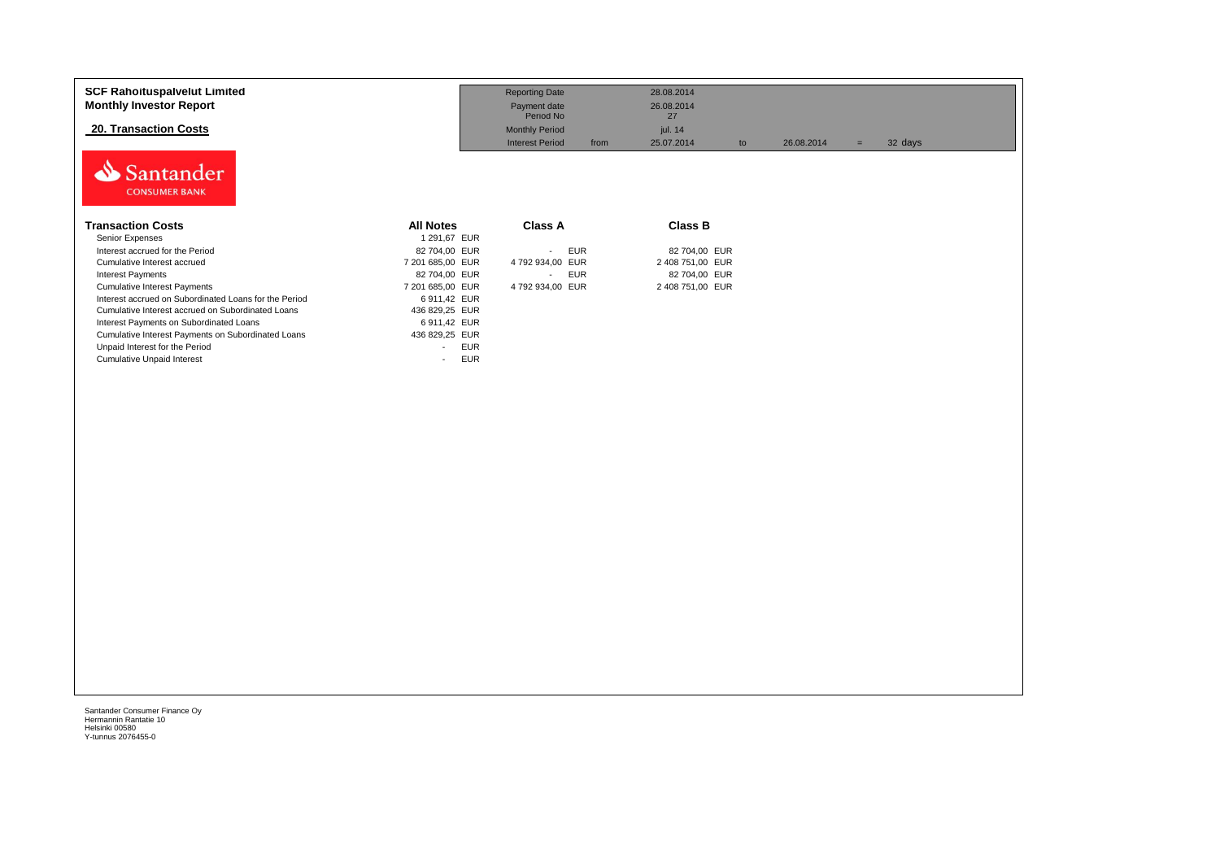| <b>SCF Rahoituspalvelut Limited</b><br><b>Monthly Investor Report</b><br><b>20. Transaction Costs</b> |                                        | <b>Reporting Date</b><br>Payment date<br>Period No<br><b>Monthly Period</b> | 28.08.2014<br>26.08.2014<br>27<br>jul. 14 |            |                |  |
|-------------------------------------------------------------------------------------------------------|----------------------------------------|-----------------------------------------------------------------------------|-------------------------------------------|------------|----------------|--|
|                                                                                                       |                                        | <b>Interest Period</b><br>from                                              | 25.07.2014<br>to                          | 26.08.2014 | 32 days<br>$=$ |  |
| Santander<br><b>CONSUMER BANK</b>                                                                     |                                        |                                                                             |                                           |            |                |  |
| <b>Transaction Costs</b>                                                                              | <b>All Notes</b>                       | Class A                                                                     | <b>Class B</b>                            |            |                |  |
| Senior Expenses                                                                                       | 1 291,67 EUR                           |                                                                             |                                           |            |                |  |
| Interest accrued for the Period                                                                       | 82 704,00 EUR                          | <b>EUR</b><br>$\sim$                                                        | 82 704,00 EUR                             |            |                |  |
| Cumulative Interest accrued                                                                           | 7 201 685,00 EUR                       | 4 792 934,00 EUR                                                            | 2 408 751,00 EUR                          |            |                |  |
| <b>Interest Payments</b>                                                                              | 82 704,00 EUR                          | <b>EUR</b>                                                                  | 82 704,00 EUR                             |            |                |  |
| <b>Cumulative Interest Payments</b>                                                                   | 7 201 685,00 EUR                       | 4 792 934,00 EUR                                                            | 2 408 751,00 EUR                          |            |                |  |
| Interest accrued on Subordinated Loans for the Period                                                 | 6911,42 EUR                            |                                                                             |                                           |            |                |  |
| Cumulative Interest accrued on Subordinated Loans                                                     | 436 829,25 EUR                         |                                                                             |                                           |            |                |  |
| Interest Payments on Subordinated Loans                                                               | 6911,42 EUR                            |                                                                             |                                           |            |                |  |
| Cumulative Interest Payments on Subordinated Loans                                                    | 436 829,25 EUR                         |                                                                             |                                           |            |                |  |
| Unpaid Interest for the Period                                                                        | <b>EUR</b><br>$\overline{\phantom{a}}$ |                                                                             |                                           |            |                |  |
| <b>Cumulative Unpaid Interest</b>                                                                     | <b>EUR</b><br>$\sim$                   |                                                                             |                                           |            |                |  |
|                                                                                                       |                                        |                                                                             |                                           |            |                |  |